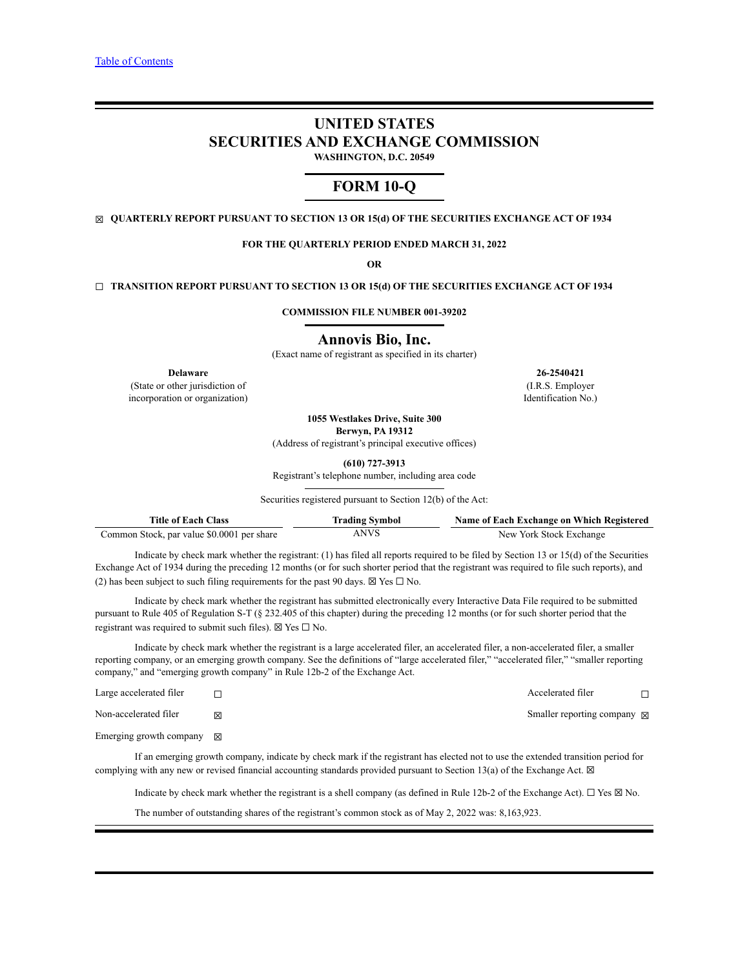# **UNITED STATES SECURITIES AND EXCHANGE COMMISSION WASHINGTON, D.C. 20549**

# **FORM 10-Q**

☒ **QUARTERLY REPORT PURSUANT TO SECTION 13 OR 15(d) OF THE SECURITIES EXCHANGE ACT OF 1934**

**FOR THE QUARTERLY PERIOD ENDED MARCH 31, 2022**

**OR**

### ☐ **TRANSITION REPORT PURSUANT TO SECTION 13 OR 15(d) OF THE SECURITIES EXCHANGE ACT OF 1934**

**COMMISSION FILE NUMBER 001-39202**

#### **Annovis Bio, Inc.**

(Exact name of registrant as specified in its charter)

(State or other jurisdiction of incorporation or organization)

**1055 Westlakes Drive, Suite 300**

**Berwyn, PA 19312**

(Address of registrant's principal executive offices)

**(610) 727-3913**

Registrant's telephone number, including area code

Securities registered pursuant to Section 12(b) of the Act:

| <b>Title of Each Class</b>                 | <b>Trading Symbol</b> | Name of Each Exchange on Which Registered |
|--------------------------------------------|-----------------------|-------------------------------------------|
| Common Stock, par value \$0.0001 per share | ANVS                  | New York Stock Exchange                   |

Indicate by check mark whether the registrant: (1) has filed all reports required to be filed by Section 13 or 15(d) of the Securities Exchange Act of 1934 during the preceding 12 months (or for such shorter period that the registrant was required to file such reports), and (2) has been subject to such filing requirements for the past 90 days.  $\boxtimes$  Yes  $\Box$  No.

Indicate by check mark whether the registrant has submitted electronically every Interactive Data File required to be submitted pursuant to Rule 405 of Regulation S-T (§ 232.405 of this chapter) during the preceding 12 months (or for such shorter period that the registrant was required to submit such files).  $\boxtimes$  Yes  $\Box$  No.

Indicate by check mark whether the registrant is a large accelerated filer, an accelerated filer, a non-accelerated filer, a smaller reporting company, or an emerging growth company. See the definitions of "large accelerated filer," "accelerated filer," "smaller reporting company," and "emerging growth company" in Rule 12b-2 of the Exchange Act.

| Large accelerated filer             |   | Accelerated filer                     |  |
|-------------------------------------|---|---------------------------------------|--|
| Non-accelerated filer               | 冈 | Smaller reporting company $\boxtimes$ |  |
| Emerging growth company $\boxtimes$ |   |                                       |  |

If an emerging growth company, indicate by check mark if the registrant has elected not to use the extended transition period for complying with any new or revised financial accounting standards provided pursuant to Section 13(a) of the Exchange Act.  $\boxtimes$ 

Indicate by check mark whether the registrant is a shell company (as defined in Rule 12b-2 of the Exchange Act). ☐ Yes ☒ No.

The number of outstanding shares of the registrant's common stock as of May 2, 2022 was: 8,163,923.

**Delaware 26-2540421** (I.R.S. Employer Identification No.)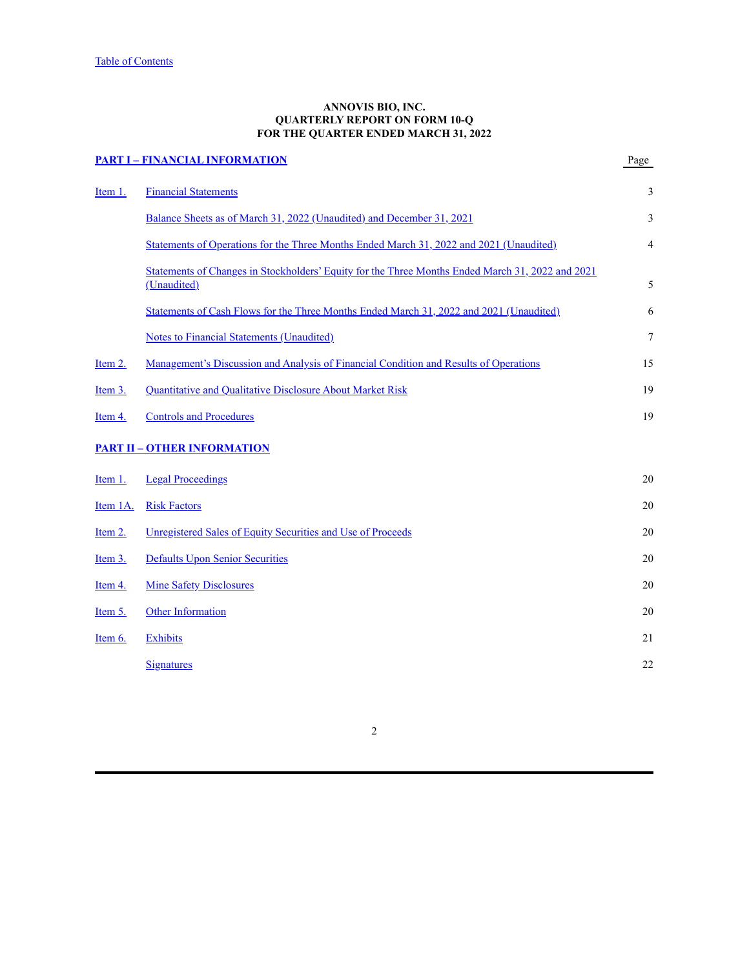### **ANNOVIS BIO, INC. QUARTERLY REPORT ON FORM 10-Q FOR THE QUARTER ENDED MARCH 31, 2022**

<span id="page-1-0"></span>

|          | <b>PART I - FINANCIAL INFORMATION</b>                                                                           | Page |
|----------|-----------------------------------------------------------------------------------------------------------------|------|
| Item 1.  | <b>Financial Statements</b>                                                                                     | 3    |
|          | Balance Sheets as of March 31, 2022 (Unaudited) and December 31, 2021                                           | 3    |
|          | Statements of Operations for the Three Months Ended March 31, 2022 and 2021 (Unaudited)                         | 4    |
|          | Statements of Changes in Stockholders' Equity for the Three Months Ended March 31, 2022 and 2021<br>(Unaudited) | 5    |
|          | Statements of Cash Flows for the Three Months Ended March 31, 2022 and 2021 (Unaudited)                         | 6    |
|          | <b>Notes to Financial Statements (Unaudited)</b>                                                                | 7    |
| Item 2.  | <u>Management's Discussion and Analysis of Financial Condition and Results of Operations</u>                    | 15   |
| Item 3.  | Quantitative and Qualitative Disclosure About Market Risk                                                       | 19   |
| Item 4.  | <b>Controls and Procedures</b>                                                                                  | 19   |
|          | <b>PART II - OTHER INFORMATION</b>                                                                              |      |
| Item 1.  | <b>Legal Proceedings</b>                                                                                        | 20   |
| Item 1A. | <b>Risk Factors</b>                                                                                             | 20   |
| Item 2.  | Unregistered Sales of Equity Securities and Use of Proceeds                                                     | 20   |
| Item 3.  | <b>Defaults Upon Senior Securities</b>                                                                          | 20   |
| Item 4.  | <b>Mine Safety Disclosures</b>                                                                                  | 20   |
| Item 5.  | <b>Other Information</b>                                                                                        | 20   |
| Item 6.  | <b>Exhibits</b>                                                                                                 | 21   |
|          | <b>Signatures</b>                                                                                               | 22   |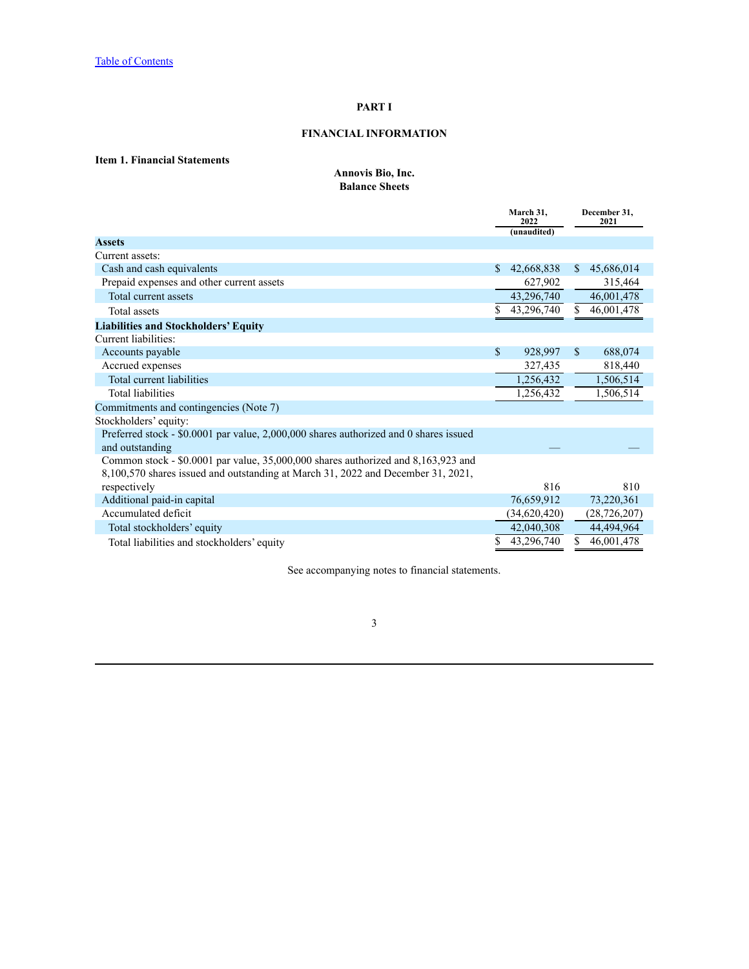## **PART I**

## **FINANCIAL INFORMATION**

## <span id="page-2-2"></span><span id="page-2-1"></span><span id="page-2-0"></span>**Item 1. Financial Statements**

### **Annovis Bio, Inc. Balance Sheets**

|                                                                                       |              | March 31,<br>2022 | December 31,<br>2021 |
|---------------------------------------------------------------------------------------|--------------|-------------------|----------------------|
|                                                                                       |              | (unaudited)       |                      |
| <b>Assets</b>                                                                         |              |                   |                      |
| Current assets:                                                                       |              |                   |                      |
| Cash and cash equivalents                                                             | $\mathbb{S}$ | 42,668,838        | \$<br>45,686,014     |
| Prepaid expenses and other current assets                                             |              | 627,902           | 315,464              |
| Total current assets                                                                  |              | 43,296,740        | 46,001,478           |
| <b>Total assets</b>                                                                   |              | 43,296,740        | \$<br>46,001,478     |
| <b>Liabilities and Stockholders' Equity</b>                                           |              |                   |                      |
| Current liabilities:                                                                  |              |                   |                      |
| Accounts payable                                                                      | $\mathbb{S}$ | 928,997           | \$<br>688,074        |
| Accrued expenses                                                                      |              | 327,435           | 818,440              |
| Total current liabilities                                                             |              | 1,256,432         | 1,506,514            |
| <b>Total liabilities</b>                                                              |              | 1,256,432         | 1,506,514            |
| Commitments and contingencies (Note 7)                                                |              |                   |                      |
| Stockholders' equity:                                                                 |              |                   |                      |
| Preferred stock - \$0.0001 par value, 2,000,000 shares authorized and 0 shares issued |              |                   |                      |
| and outstanding                                                                       |              |                   |                      |
| Common stock - \$0.0001 par value, 35,000,000 shares authorized and 8,163,923 and     |              |                   |                      |
| 8,100,570 shares issued and outstanding at March 31, 2022 and December 31, 2021,      |              |                   |                      |
| respectively                                                                          |              | 816               | 810                  |
| Additional paid-in capital                                                            |              | 76,659,912        | 73,220,361           |
| Accumulated deficit                                                                   |              | (34,620,420)      | (28, 726, 207)       |
| Total stockholders' equity                                                            |              | 42,040,308        | 44,494,964           |
| Total liabilities and stockholders' equity                                            |              | 43,296,740        | \$<br>46,001,478     |

See accompanying notes to financial statements.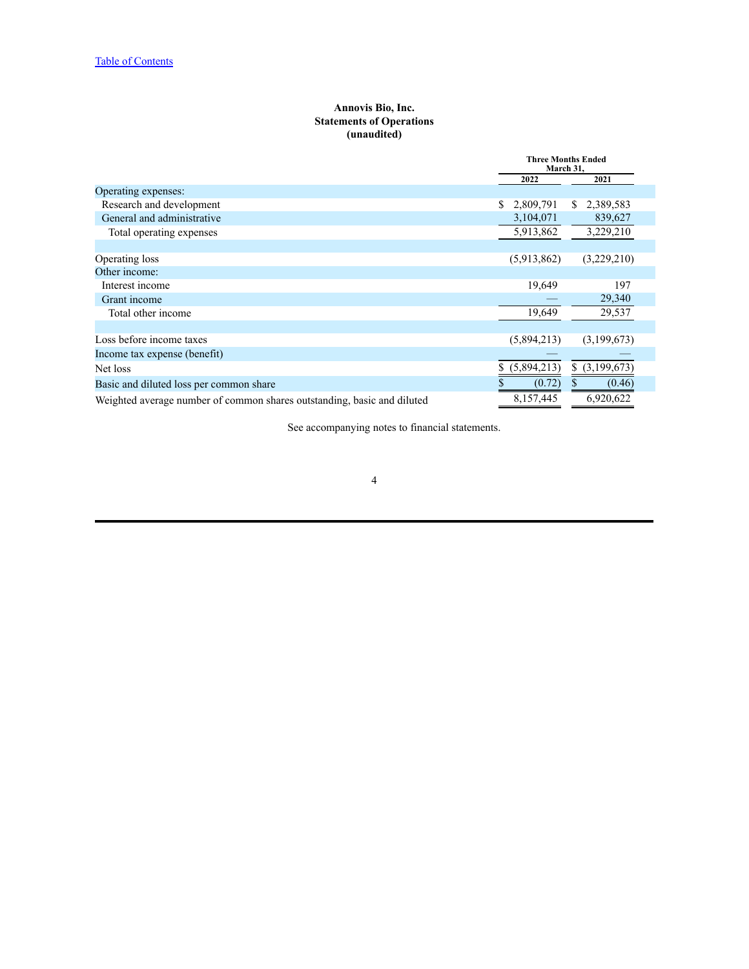### **Annovis Bio, Inc. Statements of Operations (unaudited)**

<span id="page-3-0"></span>

|                                                                         | <b>Three Months Ended</b><br>March 31, |                   |  |  |  |
|-------------------------------------------------------------------------|----------------------------------------|-------------------|--|--|--|
|                                                                         | 2022                                   | 2021              |  |  |  |
| Operating expenses:                                                     |                                        |                   |  |  |  |
| Research and development                                                | 2,809,791                              | 2,389,583<br>S    |  |  |  |
| General and administrative                                              | 3,104,071                              | 839,627           |  |  |  |
| Total operating expenses                                                | 5,913,862                              | 3,229,210         |  |  |  |
|                                                                         |                                        |                   |  |  |  |
| Operating loss                                                          | (5,913,862)                            | (3,229,210)       |  |  |  |
| Other income:                                                           |                                        |                   |  |  |  |
| Interest income                                                         | 19,649                                 | 197               |  |  |  |
| Grant income                                                            |                                        | 29,340            |  |  |  |
| Total other income                                                      | 19,649                                 | 29,537            |  |  |  |
|                                                                         |                                        |                   |  |  |  |
| Loss before income taxes                                                | (5,894,213)                            | (3,199,673)       |  |  |  |
| Income tax expense (benefit)                                            |                                        |                   |  |  |  |
| Net loss                                                                | \$(5,894,213)                          | \$<br>(3,199,673) |  |  |  |
| Basic and diluted loss per common share                                 | (0.72)                                 | (0.46)            |  |  |  |
| Weighted average number of common shares outstanding, basic and diluted | 8,157,445                              | 6,920,622         |  |  |  |

See accompanying notes to financial statements.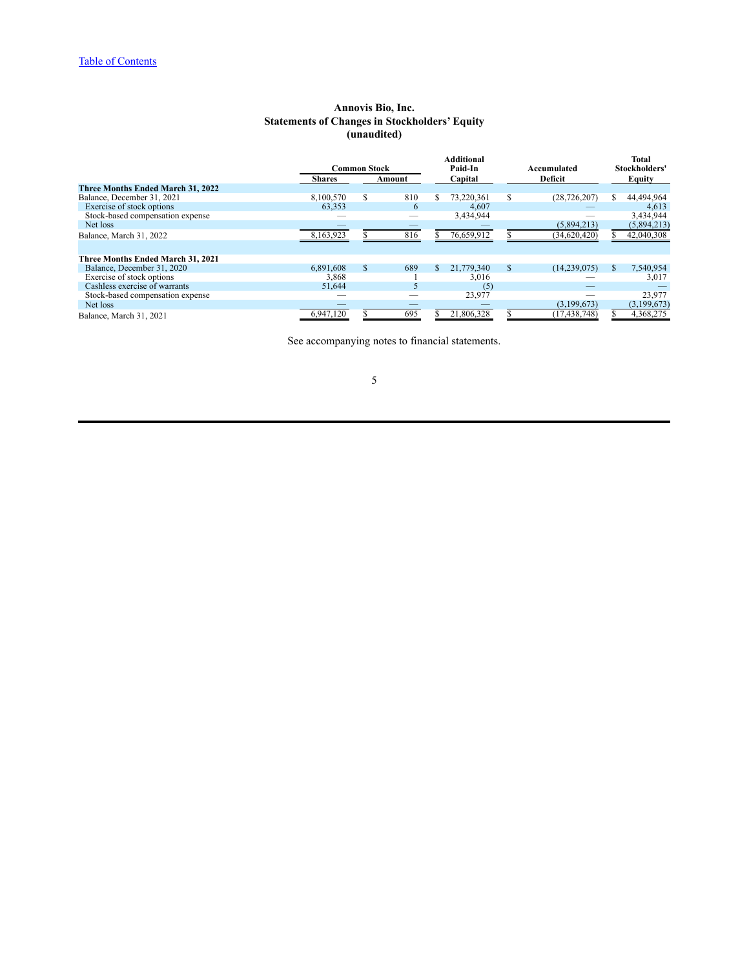## **Annovis Bio, Inc. Statements of Changes in Stockholders' Equity (unaudited)**

<span id="page-4-0"></span>

|                                   | <b>Common Stock</b> |        |     |     | <b>Additional</b><br>Paid-In |   | Accumulated    |   | <b>Total</b><br>Stockholders' |  |  |  |  |  |  |                    |  |  |  |        |
|-----------------------------------|---------------------|--------|-----|-----|------------------------------|---|----------------|---|-------------------------------|--|--|--|--|--|--|--------------------|--|--|--|--------|
|                                   | <b>Shares</b>       | Amount |     |     |                              |   |                |   |                               |  |  |  |  |  |  | Capital<br>Deficit |  |  |  | Equity |
| Three Months Ended March 31, 2022 |                     |        |     |     |                              |   |                |   |                               |  |  |  |  |  |  |                    |  |  |  |        |
| Balance, December 31, 2021        | 8.100.570           | \$     | 810 | \$  | 73.220.361                   | S | (28, 726, 207) | S | 44,494,964                    |  |  |  |  |  |  |                    |  |  |  |        |
| Exercise of stock options         | 63,353              |        | 6   |     | 4,607                        |   |                |   | 4,613                         |  |  |  |  |  |  |                    |  |  |  |        |
| Stock-based compensation expense  |                     |        |     |     | 3,434,944                    |   |                |   | 3,434,944                     |  |  |  |  |  |  |                    |  |  |  |        |
| Net loss                          |                     |        |     |     |                              |   | (5,894,213)    |   | (5,894,213)                   |  |  |  |  |  |  |                    |  |  |  |        |
| Balance, March 31, 2022           | 8,163,923           |        | 816 |     | 76,659,912                   |   | (34, 620, 420) |   | 42,040,308                    |  |  |  |  |  |  |                    |  |  |  |        |
|                                   |                     |        |     |     |                              |   |                |   |                               |  |  |  |  |  |  |                    |  |  |  |        |
| Three Months Ended March 31, 2021 |                     |        |     |     |                              |   |                |   |                               |  |  |  |  |  |  |                    |  |  |  |        |
| Balance, December 31, 2020        | 6,891,608           | \$     | 689 | \$. | 21,779,340                   | S | (14, 239, 075) |   | 7,540,954                     |  |  |  |  |  |  |                    |  |  |  |        |
| Exercise of stock options         | 3,868               |        |     |     | 3,016                        |   |                |   | 3,017                         |  |  |  |  |  |  |                    |  |  |  |        |
| Cashless exercise of warrants     | 51,644              |        |     |     | (5                           |   |                |   |                               |  |  |  |  |  |  |                    |  |  |  |        |
| Stock-based compensation expense  |                     |        |     |     | 23,977                       |   |                |   | 23,977                        |  |  |  |  |  |  |                    |  |  |  |        |
| Net loss                          |                     |        |     |     |                              |   | (3,199,673)    |   | (3, 199, 673)                 |  |  |  |  |  |  |                    |  |  |  |        |
| Balance, March 31, 2021           | 6,947,120           |        | 695 |     | 21,806,328                   |   | (17, 438, 748) |   | 4,368,275                     |  |  |  |  |  |  |                    |  |  |  |        |

See accompanying notes to financial statements.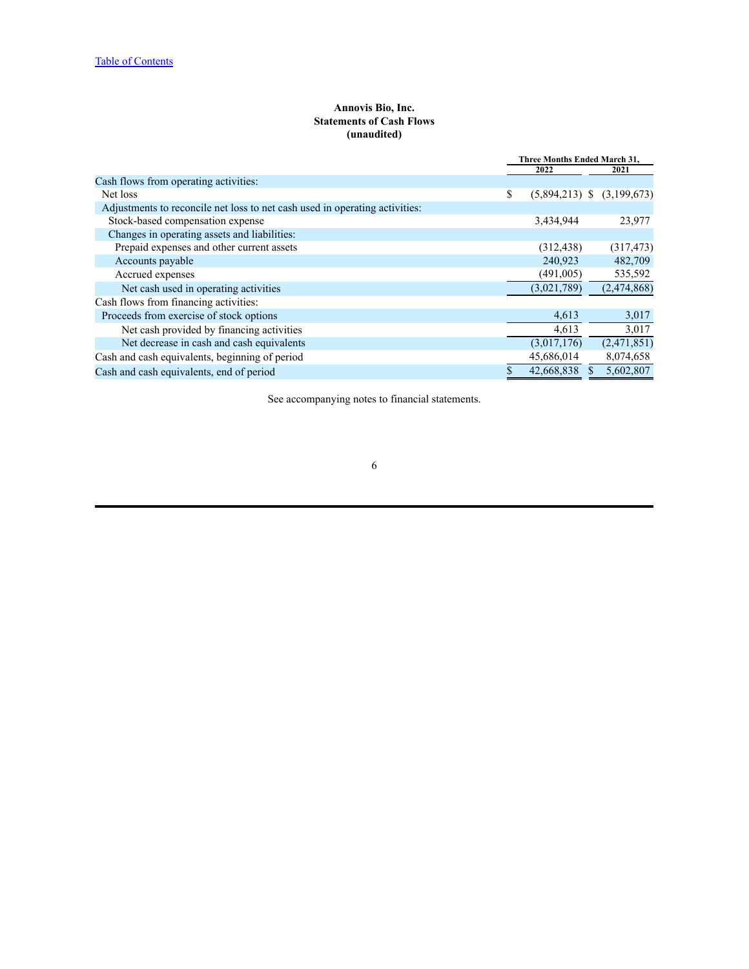## **Annovis Bio, Inc. Statements of Cash Flows (unaudited)**

<span id="page-5-0"></span>

|                                                                             | Three Months Ended March 31, |                                |  |             |
|-----------------------------------------------------------------------------|------------------------------|--------------------------------|--|-------------|
|                                                                             |                              | 2022                           |  | 2021        |
| Cash flows from operating activities:                                       |                              |                                |  |             |
| Net loss                                                                    | \$                           | $(5,894,213)$ \$ $(3,199,673)$ |  |             |
| Adjustments to reconcile net loss to net cash used in operating activities: |                              |                                |  |             |
| Stock-based compensation expense                                            |                              | 3,434,944                      |  | 23,977      |
| Changes in operating assets and liabilities:                                |                              |                                |  |             |
| Prepaid expenses and other current assets                                   |                              | (312, 438)                     |  | (317, 473)  |
| Accounts payable                                                            |                              | 240,923                        |  | 482,709     |
| Accrued expenses                                                            |                              | (491,005)                      |  | 535,592     |
| Net cash used in operating activities                                       |                              | (3,021,789)                    |  | (2,474,868) |
| Cash flows from financing activities:                                       |                              |                                |  |             |
| Proceeds from exercise of stock options                                     |                              | 4,613                          |  | 3,017       |
| Net cash provided by financing activities                                   |                              | 4,613                          |  | 3,017       |
| Net decrease in cash and cash equivalents                                   |                              | (3,017,176)                    |  | (2,471,851) |
| Cash and cash equivalents, beginning of period                              |                              | 45,686,014                     |  | 8,074,658   |
| Cash and cash equivalents, end of period                                    |                              | 42,668,838                     |  | 5,602,807   |

See accompanying notes to financial statements.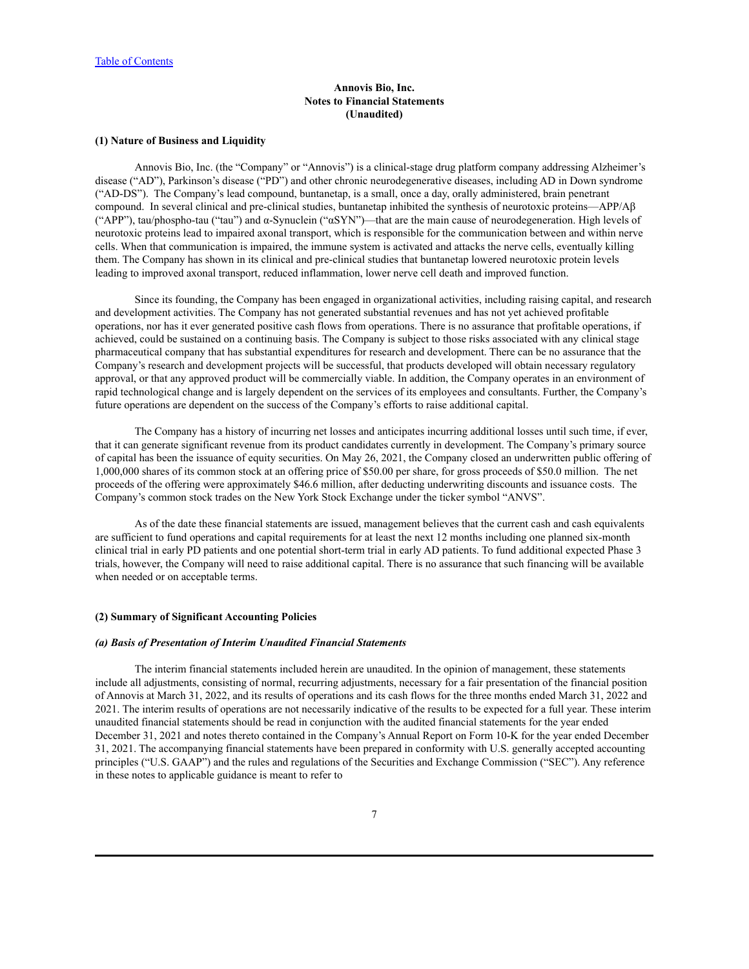### **Annovis Bio, Inc. Notes to Financial Statements (Unaudited)**

### <span id="page-6-0"></span>**(1) Nature of Business and Liquidity**

Annovis Bio, Inc. (the "Company" or "Annovis") is a clinical-stage drug platform company addressing Alzheimer's disease ("AD"), Parkinson's disease ("PD") and other chronic neurodegenerative diseases, including AD in Down syndrome ("AD-DS"). The Company's lead compound, buntanetap, is a small, once a day, orally administered, brain penetrant compound. In several clinical and pre-clinical studies, buntanetap inhibited the synthesis of neurotoxic proteins—APP/Aβ ("APP"), tau/phospho-tau ("tau") and α-Synuclein ("αSYN")—that are the main cause of neurodegeneration. High levels of neurotoxic proteins lead to impaired axonal transport, which is responsible for the communication between and within nerve cells. When that communication is impaired, the immune system is activated and attacks the nerve cells, eventually killing them. The Company has shown in its clinical and pre-clinical studies that buntanetap lowered neurotoxic protein levels leading to improved axonal transport, reduced inflammation, lower nerve cell death and improved function.

Since its founding, the Company has been engaged in organizational activities, including raising capital, and research and development activities. The Company has not generated substantial revenues and has not yet achieved profitable operations, nor has it ever generated positive cash flows from operations. There is no assurance that profitable operations, if achieved, could be sustained on a continuing basis. The Company is subject to those risks associated with any clinical stage pharmaceutical company that has substantial expenditures for research and development. There can be no assurance that the Company's research and development projects will be successful, that products developed will obtain necessary regulatory approval, or that any approved product will be commercially viable. In addition, the Company operates in an environment of rapid technological change and is largely dependent on the services of its employees and consultants. Further, the Company's future operations are dependent on the success of the Company's efforts to raise additional capital.

The Company has a history of incurring net losses and anticipates incurring additional losses until such time, if ever, that it can generate significant revenue from its product candidates currently in development. The Company's primary source of capital has been the issuance of equity securities. On May 26, 2021, the Company closed an underwritten public offering of 1,000,000 shares of its common stock at an offering price of \$50.00 per share, for gross proceeds of \$50.0 million. The net proceeds of the offering were approximately \$46.6 million, after deducting underwriting discounts and issuance costs. The Company's common stock trades on the New York Stock Exchange under the ticker symbol "ANVS".

As of the date these financial statements are issued, management believes that the current cash and cash equivalents are sufficient to fund operations and capital requirements for at least the next 12 months including one planned six-month clinical trial in early PD patients and one potential short-term trial in early AD patients. To fund additional expected Phase 3 trials, however, the Company will need to raise additional capital. There is no assurance that such financing will be available when needed or on acceptable terms.

#### **(2) Summary of Significant Accounting Policies**

#### *(a) Basis of Presentation of Interim Unaudited Financial Statements*

The interim financial statements included herein are unaudited. In the opinion of management, these statements include all adjustments, consisting of normal, recurring adjustments, necessary for a fair presentation of the financial position of Annovis at March 31, 2022, and its results of operations and its cash flows for the three months ended March 31, 2022 and 2021. The interim results of operations are not necessarily indicative of the results to be expected for a full year. These interim unaudited financial statements should be read in conjunction with the audited financial statements for the year ended December 31, 2021 and notes thereto contained in the Company's Annual Report on Form 10-K for the year ended December 31, 2021. The accompanying financial statements have been prepared in conformity with U.S. generally accepted accounting principles ("U.S. GAAP") and the rules and regulations of the Securities and Exchange Commission ("SEC"). Any reference in these notes to applicable guidance is meant to refer to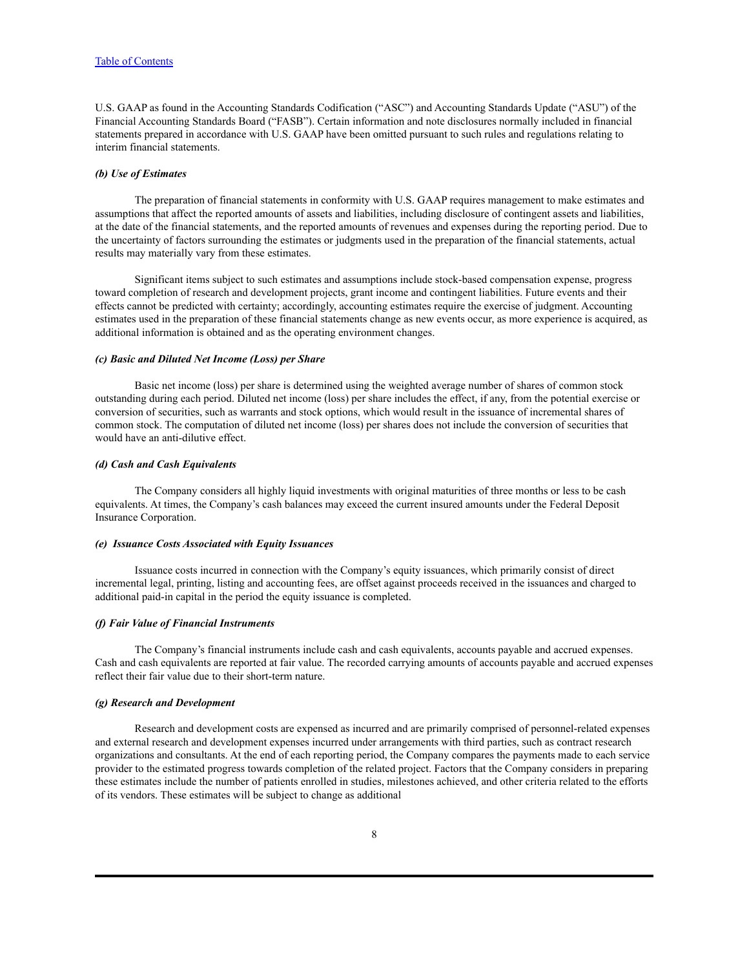U.S. GAAP as found in the Accounting Standards Codification ("ASC") and Accounting Standards Update ("ASU") of the Financial Accounting Standards Board ("FASB"). Certain information and note disclosures normally included in financial statements prepared in accordance with U.S. GAAP have been omitted pursuant to such rules and regulations relating to interim financial statements.

### *(b) Use of Estimates*

The preparation of financial statements in conformity with U.S. GAAP requires management to make estimates and assumptions that affect the reported amounts of assets and liabilities, including disclosure of contingent assets and liabilities, at the date of the financial statements, and the reported amounts of revenues and expenses during the reporting period. Due to the uncertainty of factors surrounding the estimates or judgments used in the preparation of the financial statements, actual results may materially vary from these estimates.

Significant items subject to such estimates and assumptions include stock-based compensation expense, progress toward completion of research and development projects, grant income and contingent liabilities. Future events and their effects cannot be predicted with certainty; accordingly, accounting estimates require the exercise of judgment. Accounting estimates used in the preparation of these financial statements change as new events occur, as more experience is acquired, as additional information is obtained and as the operating environment changes.

#### *(c) Basic and Diluted Net Income (Loss) per Share*

Basic net income (loss) per share is determined using the weighted average number of shares of common stock outstanding during each period. Diluted net income (loss) per share includes the effect, if any, from the potential exercise or conversion of securities, such as warrants and stock options, which would result in the issuance of incremental shares of common stock. The computation of diluted net income (loss) per shares does not include the conversion of securities that would have an anti-dilutive effect.

#### *(d) Cash and Cash Equivalents*

The Company considers all highly liquid investments with original maturities of three months or less to be cash equivalents. At times, the Company's cash balances may exceed the current insured amounts under the Federal Deposit Insurance Corporation.

### *(e) Issuance Costs Associated with Equity Issuances*

Issuance costs incurred in connection with the Company's equity issuances, which primarily consist of direct incremental legal, printing, listing and accounting fees, are offset against proceeds received in the issuances and charged to additional paid-in capital in the period the equity issuance is completed.

#### *(f) Fair Value of Financial Instruments*

The Company's financial instruments include cash and cash equivalents, accounts payable and accrued expenses. Cash and cash equivalents are reported at fair value. The recorded carrying amounts of accounts payable and accrued expenses reflect their fair value due to their short-term nature.

#### *(g) Research and Development*

Research and development costs are expensed as incurred and are primarily comprised of personnel-related expenses and external research and development expenses incurred under arrangements with third parties, such as contract research organizations and consultants. At the end of each reporting period, the Company compares the payments made to each service provider to the estimated progress towards completion of the related project. Factors that the Company considers in preparing these estimates include the number of patients enrolled in studies, milestones achieved, and other criteria related to the efforts of its vendors. These estimates will be subject to change as additional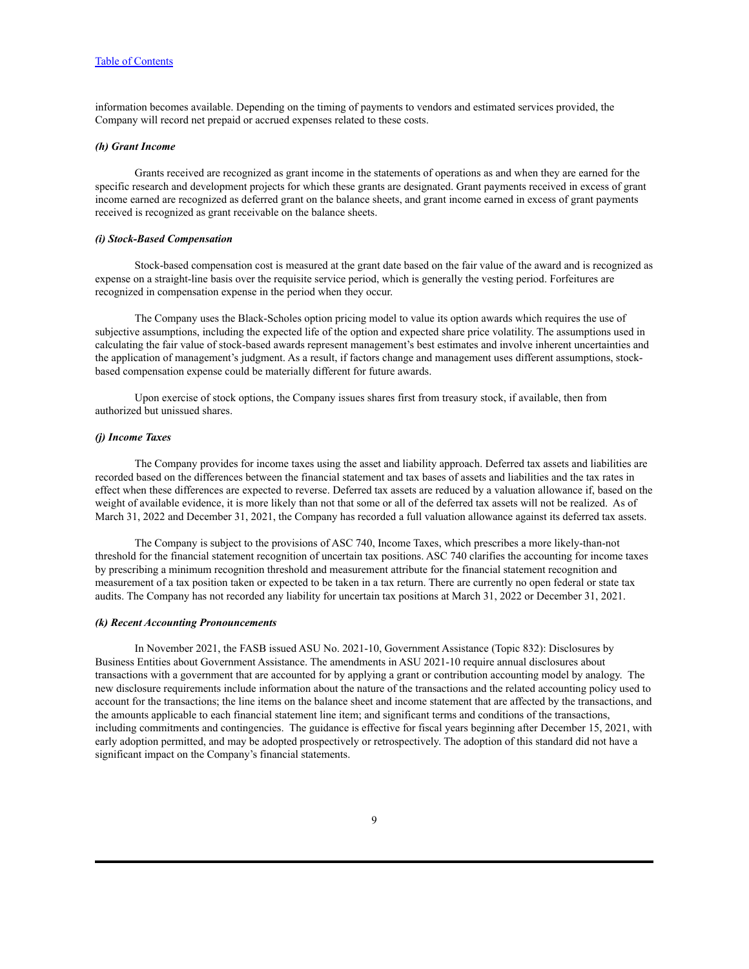information becomes available. Depending on the timing of payments to vendors and estimated services provided, the Company will record net prepaid or accrued expenses related to these costs.

### *(h) Grant Income*

Grants received are recognized as grant income in the statements of operations as and when they are earned for the specific research and development projects for which these grants are designated. Grant payments received in excess of grant income earned are recognized as deferred grant on the balance sheets, and grant income earned in excess of grant payments received is recognized as grant receivable on the balance sheets.

#### *(i) Stock-Based Compensation*

Stock-based compensation cost is measured at the grant date based on the fair value of the award and is recognized as expense on a straight-line basis over the requisite service period, which is generally the vesting period. Forfeitures are recognized in compensation expense in the period when they occur.

The Company uses the Black-Scholes option pricing model to value its option awards which requires the use of subjective assumptions, including the expected life of the option and expected share price volatility. The assumptions used in calculating the fair value of stock-based awards represent management's best estimates and involve inherent uncertainties and the application of management's judgment. As a result, if factors change and management uses different assumptions, stockbased compensation expense could be materially different for future awards.

Upon exercise of stock options, the Company issues shares first from treasury stock, if available, then from authorized but unissued shares.

#### *(j) Income Taxes*

The Company provides for income taxes using the asset and liability approach. Deferred tax assets and liabilities are recorded based on the differences between the financial statement and tax bases of assets and liabilities and the tax rates in effect when these differences are expected to reverse. Deferred tax assets are reduced by a valuation allowance if, based on the weight of available evidence, it is more likely than not that some or all of the deferred tax assets will not be realized. As of March 31, 2022 and December 31, 2021, the Company has recorded a full valuation allowance against its deferred tax assets.

The Company is subject to the provisions of ASC 740, Income Taxes, which prescribes a more likely-than-not threshold for the financial statement recognition of uncertain tax positions. ASC 740 clarifies the accounting for income taxes by prescribing a minimum recognition threshold and measurement attribute for the financial statement recognition and measurement of a tax position taken or expected to be taken in a tax return. There are currently no open federal or state tax audits. The Company has not recorded any liability for uncertain tax positions at March 31, 2022 or December 31, 2021.

#### *(k) Recent Accounting Pronouncements*

In November 2021, the FASB issued ASU No. 2021-10, Government Assistance (Topic 832): Disclosures by Business Entities about Government Assistance. The amendments in ASU 2021-10 require annual disclosures about transactions with a government that are accounted for by applying a grant or contribution accounting model by analogy. The new disclosure requirements include information about the nature of the transactions and the related accounting policy used to account for the transactions; the line items on the balance sheet and income statement that are affected by the transactions, and the amounts applicable to each financial statement line item; and significant terms and conditions of the transactions, including commitments and contingencies. The guidance is effective for fiscal years beginning after December 15, 2021, with early adoption permitted, and may be adopted prospectively or retrospectively. The adoption of this standard did not have a significant impact on the Company's financial statements.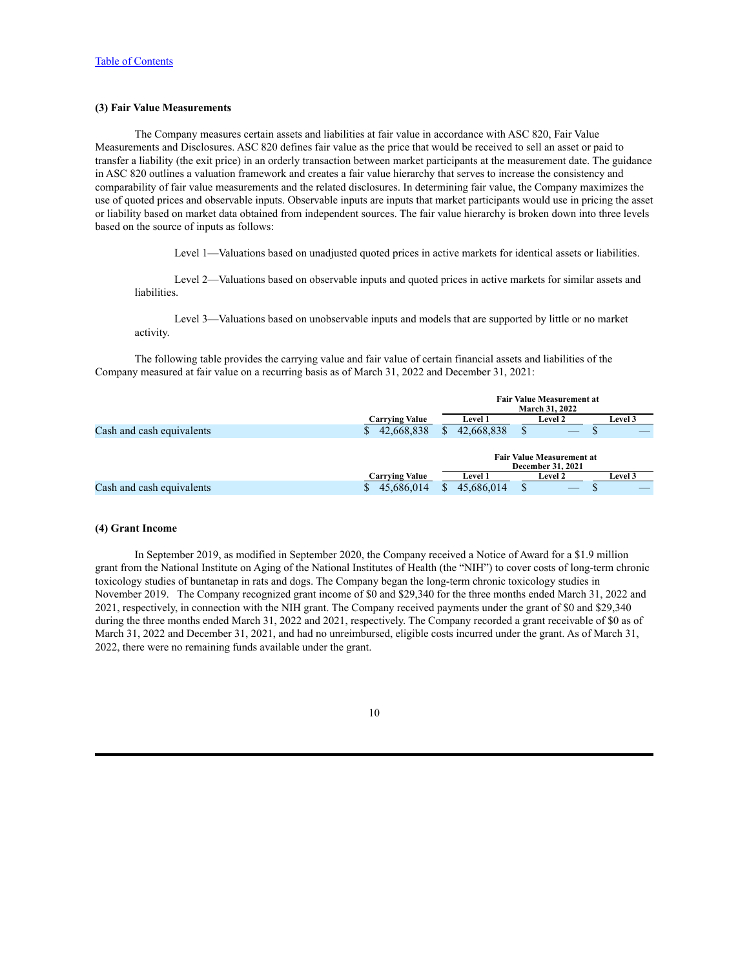### **(3) Fair Value Measurements**

The Company measures certain assets and liabilities at fair value in accordance with ASC 820, Fair Value Measurements and Disclosures. ASC 820 defines fair value as the price that would be received to sell an asset or paid to transfer a liability (the exit price) in an orderly transaction between market participants at the measurement date. The guidance in ASC 820 outlines a valuation framework and creates a fair value hierarchy that serves to increase the consistency and comparability of fair value measurements and the related disclosures. In determining fair value, the Company maximizes the use of quoted prices and observable inputs. Observable inputs are inputs that market participants would use in pricing the asset or liability based on market data obtained from independent sources. The fair value hierarchy is broken down into three levels based on the source of inputs as follows:

Level 1—Valuations based on unadjusted quoted prices in active markets for identical assets or liabilities.

Level 2—Valuations based on observable inputs and quoted prices in active markets for similar assets and liabilities.

Level 3—Valuations based on unobservable inputs and models that are supported by little or no market activity.

The following table provides the carrying value and fair value of certain financial assets and liabilities of the Company measured at fair value on a recurring basis as of March 31, 2022 and December 31, 2021:

|                           |                       | <b>Fair Value Measurement at</b><br>March 31, 2022 |                |   |                                                              |  |                |
|---------------------------|-----------------------|----------------------------------------------------|----------------|---|--------------------------------------------------------------|--|----------------|
|                           | <b>Carrying Value</b> |                                                    | <b>Level 1</b> |   | Level 2                                                      |  | Level 3        |
| Cash and cash equivalents | 42,668,838<br>S.      |                                                    | 42,668,838     | S |                                                              |  |                |
|                           |                       |                                                    |                |   | <b>Fair Value Measurement at</b><br><b>December 31, 2021</b> |  |                |
|                           | <b>Carrying Value</b> |                                                    | <b>Level 1</b> |   | <b>Level 2</b>                                               |  | <b>Level 3</b> |
| Cash and cash equivalents | 45,686,014            |                                                    | 45,686,014     | S |                                                              |  |                |

#### **(4) Grant Income**

In September 2019, as modified in September 2020, the Company received a Notice of Award for a \$1.9 million grant from the National Institute on Aging of the National Institutes of Health (the "NIH") to cover costs of long-term chronic toxicology studies of buntanetap in rats and dogs. The Company began the long-term chronic toxicology studies in November 2019. The Company recognized grant income of \$0 and \$29,340 for the three months ended March 31, 2022 and 2021, respectively, in connection with the NIH grant. The Company received payments under the grant of \$0 and \$29,340 during the three months ended March 31, 2022 and 2021, respectively. The Company recorded a grant receivable of \$0 as of March 31, 2022 and December 31, 2021, and had no unreimbursed, eligible costs incurred under the grant. As of March 31, 2022, there were no remaining funds available under the grant.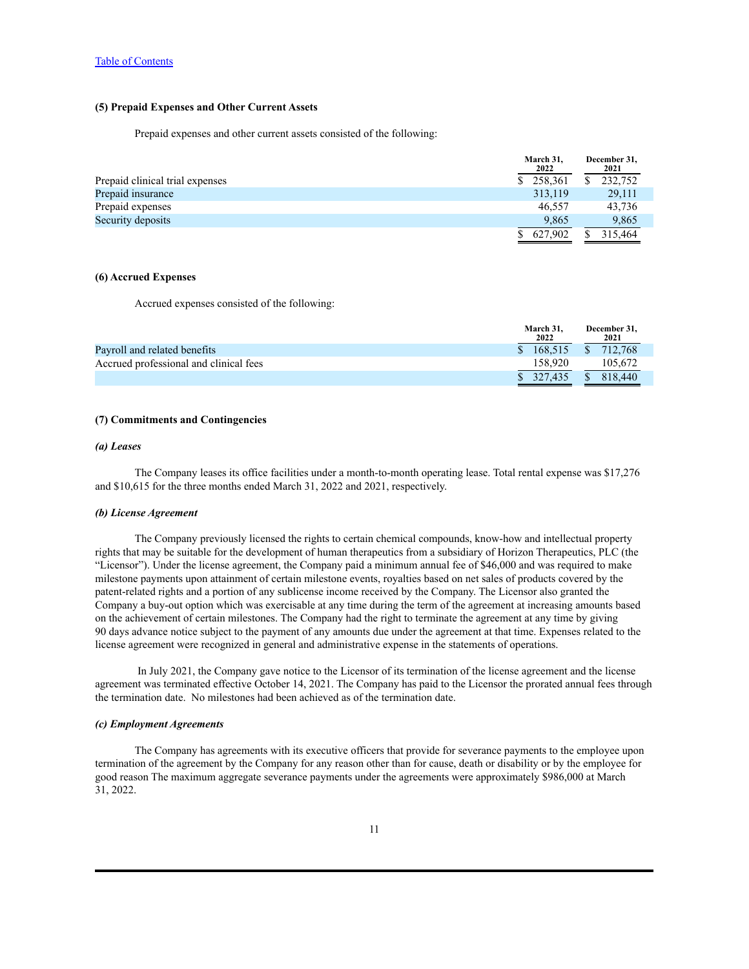### **(5) Prepaid Expenses and Other Current Assets**

Prepaid expenses and other current assets consisted of the following:

| 2022    |                        | December 31.<br>2021 |
|---------|------------------------|----------------------|
|         |                        | 232,752              |
| 313,119 |                        | 29,111               |
| 46.557  |                        | 43,736               |
| 9.865   |                        | 9,865                |
| 627.902 |                        | 315.464              |
|         | March 31,<br>\$258,361 |                      |

### **(6) Accrued Expenses**

Accrued expenses consisted of the following:

|                                        | March 31,<br>2022 | December 31.<br>2021    |
|----------------------------------------|-------------------|-------------------------|
| Payroll and related benefits           | \$168.515         | \$712.768               |
| Accrued professional and clinical fees | 158.920           | 105.672                 |
|                                        | \$327.435         | <sup>S</sup><br>818,440 |

### **(7) Commitments and Contingencies**

### *(a) Leases*

The Company leases its office facilities under a month-to-month operating lease. Total rental expense was \$17,276 and \$10,615 for the three months ended March 31, 2022 and 2021, respectively.

#### *(b) License Agreement*

The Company previously licensed the rights to certain chemical compounds, know-how and intellectual property rights that may be suitable for the development of human therapeutics from a subsidiary of Horizon Therapeutics, PLC (the "Licensor"). Under the license agreement, the Company paid a minimum annual fee of \$46,000 and was required to make milestone payments upon attainment of certain milestone events, royalties based on net sales of products covered by the patent-related rights and a portion of any sublicense income received by the Company. The Licensor also granted the Company a buy-out option which was exercisable at any time during the term of the agreement at increasing amounts based on the achievement of certain milestones. The Company had the right to terminate the agreement at any time by giving 90 days advance notice subject to the payment of any amounts due under the agreement at that time. Expenses related to the license agreement were recognized in general and administrative expense in the statements of operations.

In July 2021, the Company gave notice to the Licensor of its termination of the license agreement and the license agreement was terminated effective October 14, 2021. The Company has paid to the Licensor the prorated annual fees through the termination date. No milestones had been achieved as of the termination date.

#### *(c) Employment Agreements*

The Company has agreements with its executive officers that provide for severance payments to the employee upon termination of the agreement by the Company for any reason other than for cause, death or disability or by the employee for good reason The maximum aggregate severance payments under the agreements were approximately \$986,000 at March 31, 2022.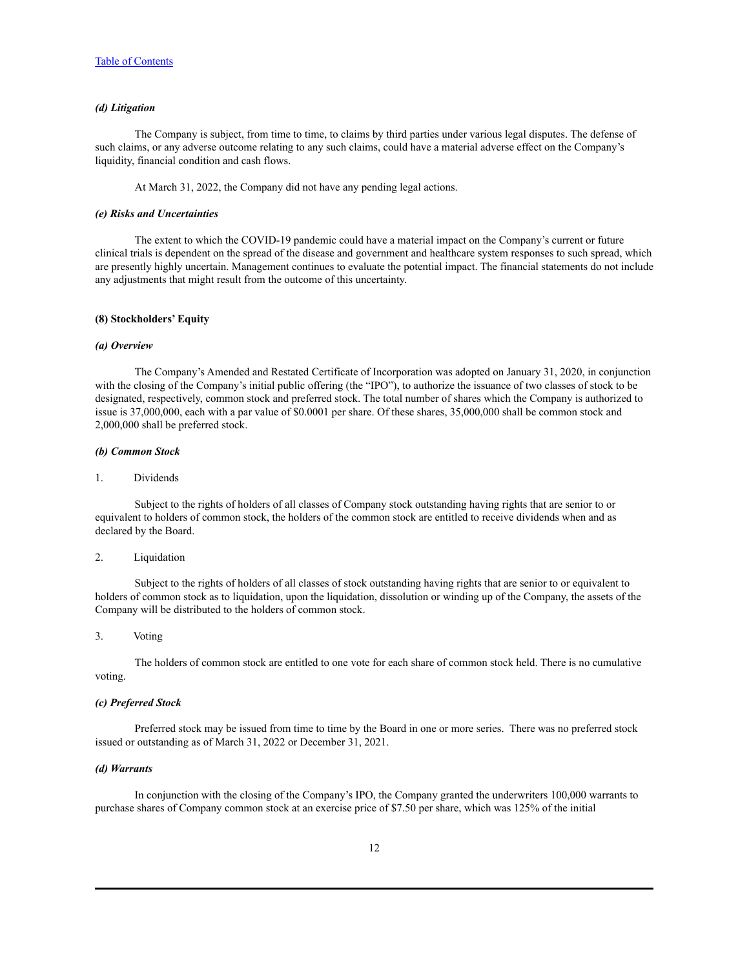#### *(d) Litigation*

The Company is subject, from time to time, to claims by third parties under various legal disputes. The defense of such claims, or any adverse outcome relating to any such claims, could have a material adverse effect on the Company's liquidity, financial condition and cash flows.

At March 31, 2022, the Company did not have any pending legal actions.

### *(e) Risks and Uncertainties*

The extent to which the COVID-19 pandemic could have a material impact on the Company's current or future clinical trials is dependent on the spread of the disease and government and healthcare system responses to such spread, which are presently highly uncertain. Management continues to evaluate the potential impact. The financial statements do not include any adjustments that might result from the outcome of this uncertainty.

#### **(8) Stockholders' Equity**

#### *(a) Overview*

The Company's Amended and Restated Certificate of Incorporation was adopted on January 31, 2020, in conjunction with the closing of the Company's initial public offering (the "IPO"), to authorize the issuance of two classes of stock to be designated, respectively, common stock and preferred stock. The total number of shares which the Company is authorized to issue is 37,000,000, each with a par value of \$0.0001 per share. Of these shares, 35,000,000 shall be common stock and 2,000,000 shall be preferred stock.

#### *(b) Common Stock*

#### 1. Dividends

Subject to the rights of holders of all classes of Company stock outstanding having rights that are senior to or equivalent to holders of common stock, the holders of the common stock are entitled to receive dividends when and as declared by the Board.

### 2. Liquidation

Subject to the rights of holders of all classes of stock outstanding having rights that are senior to or equivalent to holders of common stock as to liquidation, upon the liquidation, dissolution or winding up of the Company, the assets of the Company will be distributed to the holders of common stock.

#### 3. Voting

The holders of common stock are entitled to one vote for each share of common stock held. There is no cumulative voting.

#### *(c) Preferred Stock*

Preferred stock may be issued from time to time by the Board in one or more series. There was no preferred stock issued or outstanding as of March 31, 2022 or December 31, 2021.

#### *(d) Warrants*

In conjunction with the closing of the Company's IPO, the Company granted the underwriters 100,000 warrants to purchase shares of Company common stock at an exercise price of \$7.50 per share, which was 125% of the initial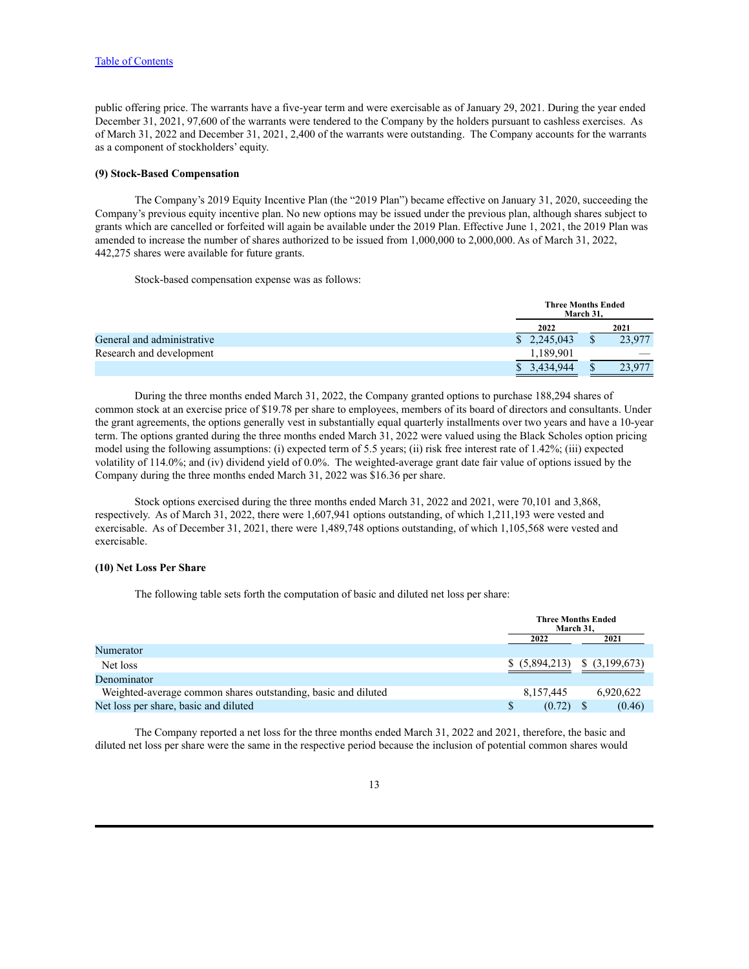public offering price. The warrants have a five-year term and were exercisable as of January 29, 2021. During the year ended December 31, 2021, 97,600 of the warrants were tendered to the Company by the holders pursuant to cashless exercises. As of March 31, 2022 and December 31, 2021, 2,400 of the warrants were outstanding. The Company accounts for the warrants as a component of stockholders' equity.

### **(9) Stock-Based Compensation**

The Company's 2019 Equity Incentive Plan (the "2019 Plan") became effective on January 31, 2020, succeeding the Company's previous equity incentive plan. No new options may be issued under the previous plan, although shares subject to grants which are cancelled or forfeited will again be available under the 2019 Plan. Effective June 1, 2021, the 2019 Plan was amended to increase the number of shares authorized to be issued from 1,000,000 to 2,000,000. As of March 31, 2022, 442,275 shares were available for future grants.

Stock-based compensation expense was as follows:

|                            | <b>Three Months Ended</b>   | March 31. |        |
|----------------------------|-----------------------------|-----------|--------|
|                            | 2022                        |           | 2021   |
| General and administrative | $\frac{1}{2}$ , 2, 245, 043 |           | 23,977 |
| Research and development   | 189,901                     |           |        |
|                            | 3,434,944                   |           | , 977  |

During the three months ended March 31, 2022, the Company granted options to purchase 188,294 shares of common stock at an exercise price of \$19.78 per share to employees, members of its board of directors and consultants. Under the grant agreements, the options generally vest in substantially equal quarterly installments over two years and have a 10-year term. The options granted during the three months ended March 31, 2022 were valued using the Black Scholes option pricing model using the following assumptions: (i) expected term of 5.5 years; (ii) risk free interest rate of 1.42%; (iii) expected volatility of 114.0%; and (iv) dividend yield of 0.0%. The weighted-average grant date fair value of options issued by the Company during the three months ended March 31, 2022 was \$16.36 per share.

Stock options exercised during the three months ended March 31, 2022 and 2021, were 70,101 and 3,868, respectively. As of March 31, 2022, there were 1,607,941 options outstanding, of which 1,211,193 were vested and exercisable. As of December 31, 2021, there were 1,489,748 options outstanding, of which 1,105,568 were vested and exercisable.

#### **(10) Net Loss Per Share**

The following table sets forth the computation of basic and diluted net loss per share:

|                                                               |  | <b>Three Months Ended</b><br>March 31, |  |                |
|---------------------------------------------------------------|--|----------------------------------------|--|----------------|
|                                                               |  | 2021                                   |  |                |
| Numerator                                                     |  |                                        |  |                |
| Net loss                                                      |  | \$ (5,894,213)                         |  | \$ (3,199,673) |
| Denominator                                                   |  |                                        |  |                |
| Weighted-average common shares outstanding, basic and diluted |  | 8,157,445                              |  | 6,920,622      |
| Net loss per share, basic and diluted                         |  | (0.72)                                 |  | (0.46)         |

The Company reported a net loss for the three months ended March 31, 2022 and 2021, therefore, the basic and diluted net loss per share were the same in the respective period because the inclusion of potential common shares would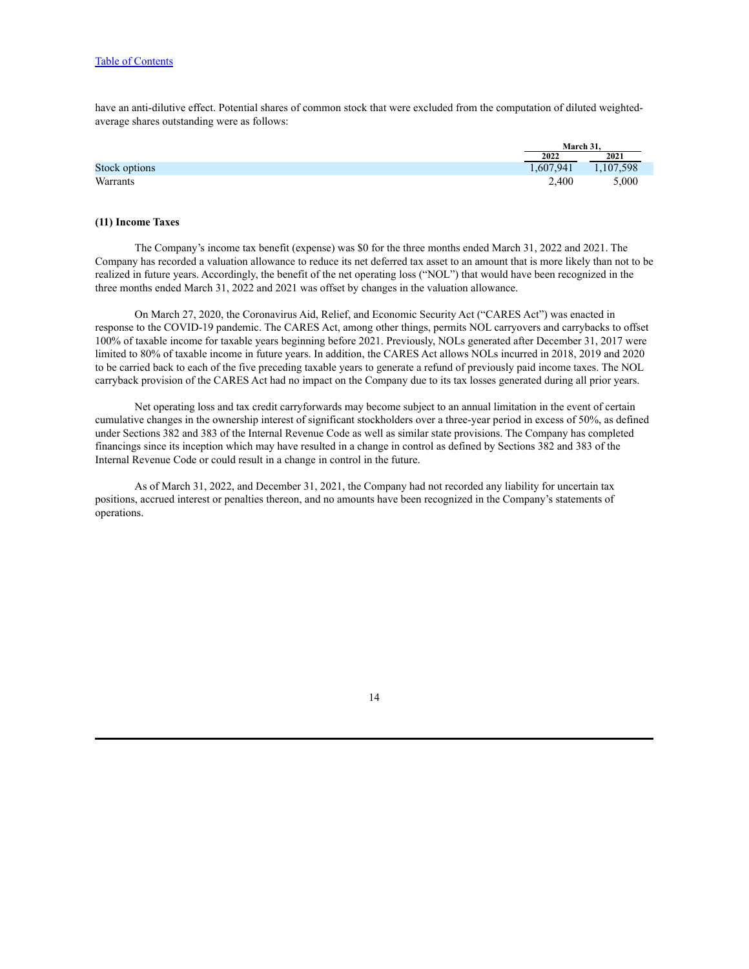have an anti-dilutive effect. Potential shares of common stock that were excluded from the computation of diluted weightedaverage shares outstanding were as follows:

|               |           | March 31. |  |
|---------------|-----------|-----------|--|
|               | 2022      | 2021      |  |
| Stock options | 1,607,941 | 1,107,598 |  |
| Warrants      | 2,400     | 5,000     |  |

#### **(11) Income Taxes**

The Company's income tax benefit (expense) was \$0 for the three months ended March 31, 2022 and 2021. The Company has recorded a valuation allowance to reduce its net deferred tax asset to an amount that is more likely than not to be realized in future years. Accordingly, the benefit of the net operating loss ("NOL") that would have been recognized in the three months ended March 31, 2022 and 2021 was offset by changes in the valuation allowance.

On March 27, 2020, the Coronavirus Aid, Relief, and Economic Security Act ("CARES Act") was enacted in response to the COVID-19 pandemic. The CARES Act, among other things, permits NOL carryovers and carrybacks to offset 100% of taxable income for taxable years beginning before 2021. Previously, NOLs generated after December 31, 2017 were limited to 80% of taxable income in future years. In addition, the CARES Act allows NOLs incurred in 2018, 2019 and 2020 to be carried back to each of the five preceding taxable years to generate a refund of previously paid income taxes. The NOL carryback provision of the CARES Act had no impact on the Company due to its tax losses generated during all prior years.

Net operating loss and tax credit carryforwards may become subject to an annual limitation in the event of certain cumulative changes in the ownership interest of significant stockholders over a three-year period in excess of 50%, as defined under Sections 382 and 383 of the Internal Revenue Code as well as similar state provisions. The Company has completed financings since its inception which may have resulted in a change in control as defined by Sections 382 and 383 of the Internal Revenue Code or could result in a change in control in the future.

As of March 31, 2022, and December 31, 2021, the Company had not recorded any liability for uncertain tax positions, accrued interest or penalties thereon, and no amounts have been recognized in the Company's statements of operations.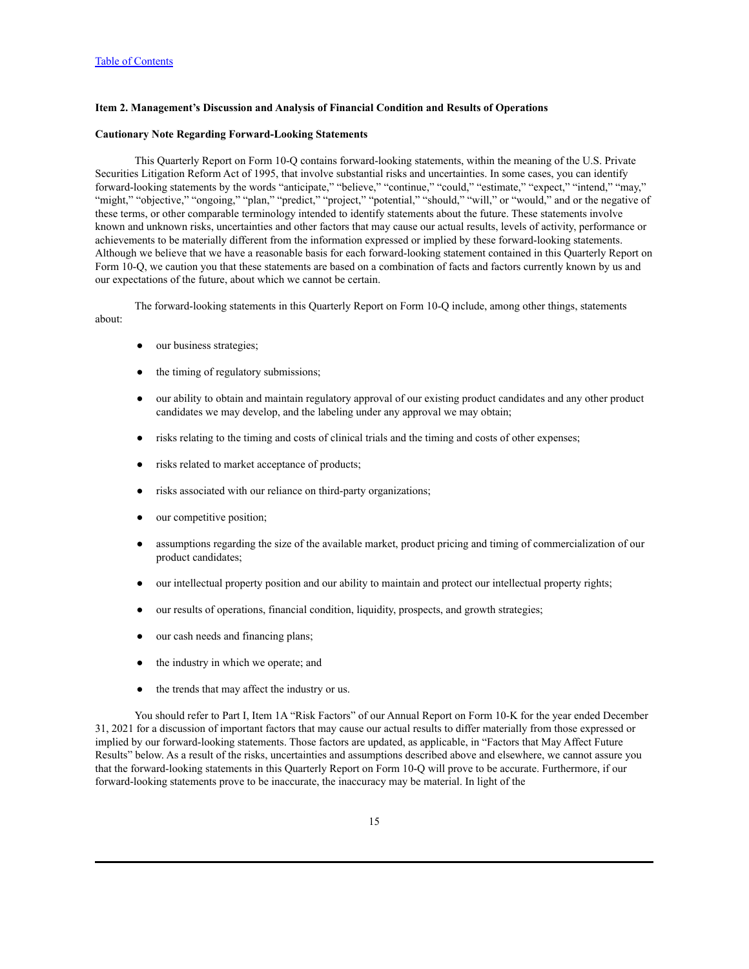### <span id="page-14-0"></span>**Item 2. Management's Discussion and Analysis of Financial Condition and Results of Operations**

#### **Cautionary Note Regarding Forward-Looking Statements**

This Quarterly Report on Form 10-Q contains forward-looking statements, within the meaning of the U.S. Private Securities Litigation Reform Act of 1995, that involve substantial risks and uncertainties. In some cases, you can identify forward-looking statements by the words "anticipate," "believe," "continue," "could," "estimate," "expect," "intend," "may," "might," "objective," "ongoing," "plan," "predict," "project," "potential," "should," "will," or "would," and or the negative of these terms, or other comparable terminology intended to identify statements about the future. These statements involve known and unknown risks, uncertainties and other factors that may cause our actual results, levels of activity, performance or achievements to be materially different from the information expressed or implied by these forward-looking statements. Although we believe that we have a reasonable basis for each forward-looking statement contained in this Quarterly Report on Form 10-Q, we caution you that these statements are based on a combination of facts and factors currently known by us and our expectations of the future, about which we cannot be certain.

The forward-looking statements in this Quarterly Report on Form 10-Q include, among other things, statements about:

- our business strategies;
- the timing of regulatory submissions;
- our ability to obtain and maintain regulatory approval of our existing product candidates and any other product candidates we may develop, and the labeling under any approval we may obtain;
- risks relating to the timing and costs of clinical trials and the timing and costs of other expenses;
- risks related to market acceptance of products;
- risks associated with our reliance on third-party organizations;
- our competitive position;
- assumptions regarding the size of the available market, product pricing and timing of commercialization of our product candidates;
- our intellectual property position and our ability to maintain and protect our intellectual property rights;
- our results of operations, financial condition, liquidity, prospects, and growth strategies;
- our cash needs and financing plans;
- the industry in which we operate; and
- the trends that may affect the industry or us.

You should refer to Part I, Item 1A "Risk Factors" of our Annual Report on Form 10-K for the year ended December 31, 2021 for a discussion of important factors that may cause our actual results to differ materially from those expressed or implied by our forward-looking statements. Those factors are updated, as applicable, in "Factors that May Affect Future Results" below. As a result of the risks, uncertainties and assumptions described above and elsewhere, we cannot assure you that the forward-looking statements in this Quarterly Report on Form 10-Q will prove to be accurate. Furthermore, if our forward-looking statements prove to be inaccurate, the inaccuracy may be material. In light of the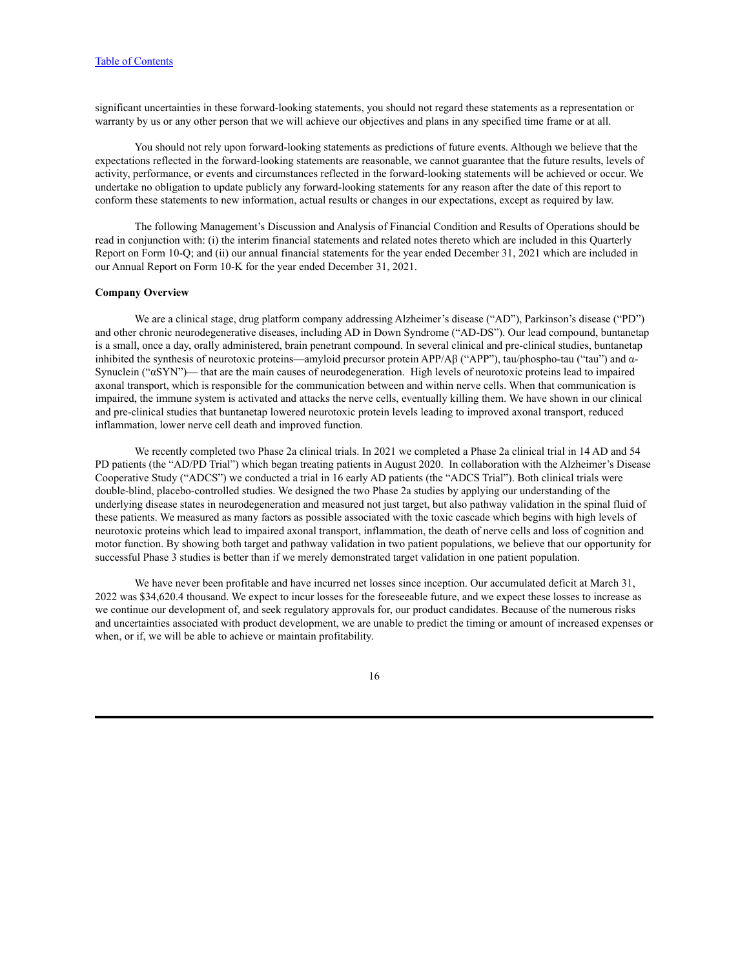significant uncertainties in these forward-looking statements, you should not regard these statements as a representation or warranty by us or any other person that we will achieve our objectives and plans in any specified time frame or at all.

You should not rely upon forward-looking statements as predictions of future events. Although we believe that the expectations reflected in the forward-looking statements are reasonable, we cannot guarantee that the future results, levels of activity, performance, or events and circumstances reflected in the forward-looking statements will be achieved or occur. We undertake no obligation to update publicly any forward-looking statements for any reason after the date of this report to conform these statements to new information, actual results or changes in our expectations, except as required by law.

The following Management's Discussion and Analysis of Financial Condition and Results of Operations should be read in conjunction with: (i) the interim financial statements and related notes thereto which are included in this Quarterly Report on Form 10-Q; and (ii) our annual financial statements for the year ended December 31, 2021 which are included in our Annual Report on Form 10-K for the year ended December 31, 2021.

#### **Company Overview**

We are a clinical stage, drug platform company addressing Alzheimer's disease ("AD"), Parkinson's disease ("PD") and other chronic neurodegenerative diseases, including AD in Down Syndrome ("AD-DS"). Our lead compound, buntanetap is a small, once a day, orally administered, brain penetrant compound. In several clinical and pre-clinical studies, buntanetap inhibited the synthesis of neurotoxic proteins—amyloid precursor protein APP/Aβ ("APP"), tau/phospho-tau ("tau") and α-Synuclein ("αSYN")— that are the main causes of neurodegeneration. High levels of neurotoxic proteins lead to impaired axonal transport, which is responsible for the communication between and within nerve cells. When that communication is impaired, the immune system is activated and attacks the nerve cells, eventually killing them. We have shown in our clinical and pre-clinical studies that buntanetap lowered neurotoxic protein levels leading to improved axonal transport, reduced inflammation, lower nerve cell death and improved function.

We recently completed two Phase 2a clinical trials. In 2021 we completed a Phase 2a clinical trial in 14 AD and 54 PD patients (the "AD/PD Trial") which began treating patients in August 2020. In collaboration with the Alzheimer's Disease Cooperative Study ("ADCS") we conducted a trial in 16 early AD patients (the "ADCS Trial"). Both clinical trials were double-blind, placebo-controlled studies. We designed the two Phase 2a studies by applying our understanding of the underlying disease states in neurodegeneration and measured not just target, but also pathway validation in the spinal fluid of these patients. We measured as many factors as possible associated with the toxic cascade which begins with high levels of neurotoxic proteins which lead to impaired axonal transport, inflammation, the death of nerve cells and loss of cognition and motor function. By showing both target and pathway validation in two patient populations, we believe that our opportunity for successful Phase 3 studies is better than if we merely demonstrated target validation in one patient population.

We have never been profitable and have incurred net losses since inception. Our accumulated deficit at March 31, 2022 was \$34,620.4 thousand. We expect to incur losses for the foreseeable future, and we expect these losses to increase as we continue our development of, and seek regulatory approvals for, our product candidates. Because of the numerous risks and uncertainties associated with product development, we are unable to predict the timing or amount of increased expenses or when, or if, we will be able to achieve or maintain profitability.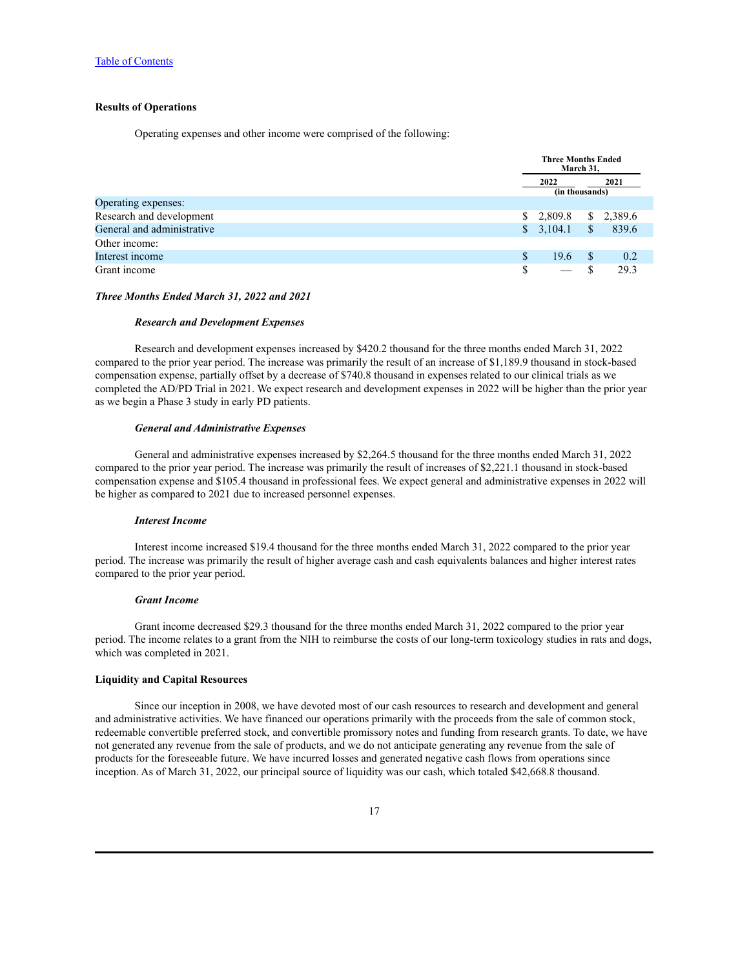### **Results of Operations**

Operating expenses and other income were comprised of the following:

|                            |    | Three Months Ended<br>March 31, |              |         |
|----------------------------|----|---------------------------------|--------------|---------|
|                            |    | 2022<br>(in thousands)          |              | 2021    |
| Operating expenses:        |    |                                 |              |         |
| Research and development   | S. | 2,809.8                         | S.           | 2,389.6 |
| General and administrative |    | \$3,104.1                       | <sup>S</sup> | 839.6   |
| Other income:              |    |                                 |              |         |
| Interest income            | S  | 19.6                            |              | 0.2     |
| Grant income               | \$ |                                 |              | 29.3    |

#### *Three Months Ended March 31, 2022 and 2021*

#### *Research and Development Expenses*

Research and development expenses increased by \$420.2 thousand for the three months ended March 31, 2022 compared to the prior year period. The increase was primarily the result of an increase of \$1,189.9 thousand in stock-based compensation expense, partially offset by a decrease of \$740.8 thousand in expenses related to our clinical trials as we completed the AD/PD Trial in 2021. We expect research and development expenses in 2022 will be higher than the prior year as we begin a Phase 3 study in early PD patients.

#### *General and Administrative Expenses*

General and administrative expenses increased by \$2,264.5 thousand for the three months ended March 31, 2022 compared to the prior year period. The increase was primarily the result of increases of \$2,221.1 thousand in stock-based compensation expense and \$105.4 thousand in professional fees. We expect general and administrative expenses in 2022 will be higher as compared to 2021 due to increased personnel expenses.

### *Interest Income*

Interest income increased \$19.4 thousand for the three months ended March 31, 2022 compared to the prior year period. The increase was primarily the result of higher average cash and cash equivalents balances and higher interest rates compared to the prior year period.

#### *Grant Income*

Grant income decreased \$29.3 thousand for the three months ended March 31, 2022 compared to the prior year period. The income relates to a grant from the NIH to reimburse the costs of our long-term toxicology studies in rats and dogs, which was completed in 2021.

### **Liquidity and Capital Resources**

Since our inception in 2008, we have devoted most of our cash resources to research and development and general and administrative activities. We have financed our operations primarily with the proceeds from the sale of common stock, redeemable convertible preferred stock, and convertible promissory notes and funding from research grants. To date, we have not generated any revenue from the sale of products, and we do not anticipate generating any revenue from the sale of products for the foreseeable future. We have incurred losses and generated negative cash flows from operations since inception. As of March 31, 2022, our principal source of liquidity was our cash, which totaled \$42,668.8 thousand.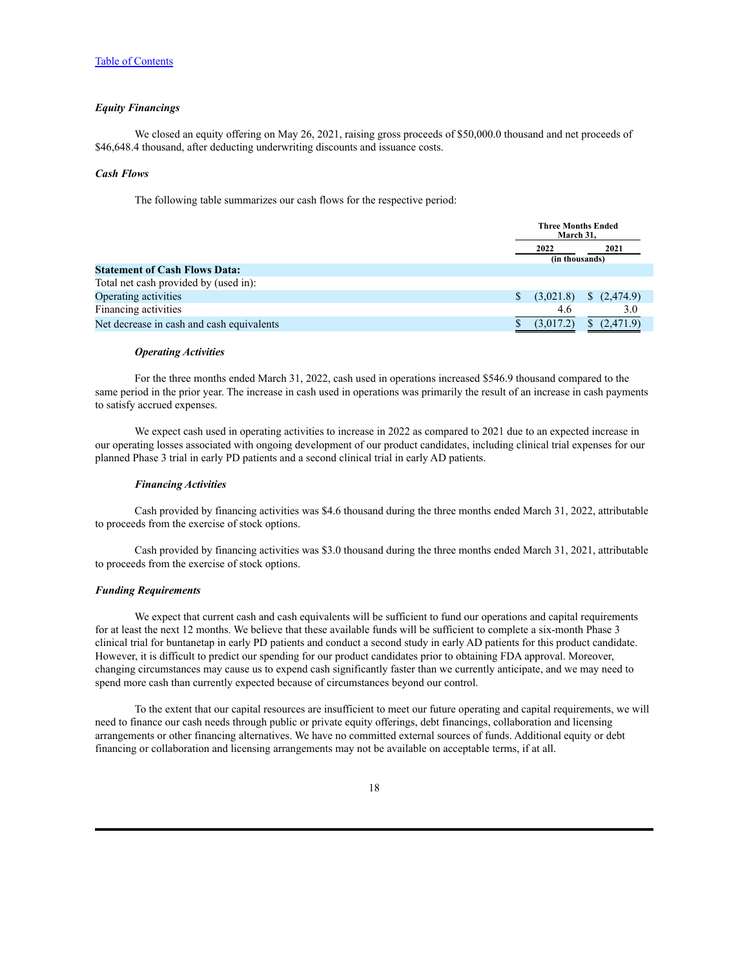#### *Equity Financings*

We closed an equity offering on May 26, 2021, raising gross proceeds of \$50,000.0 thousand and net proceeds of \$46,648.4 thousand, after deducting underwriting discounts and issuance costs.

#### *Cash Flows*

The following table summarizes our cash flows for the respective period:

|                                           | <b>Three Months Ended</b><br>March 31, |                        |                       |
|-------------------------------------------|----------------------------------------|------------------------|-----------------------|
|                                           |                                        | 2022<br>(in thousands) | 2021                  |
| <b>Statement of Cash Flows Data:</b>      |                                        |                        |                       |
| Total net cash provided by (used in):     |                                        |                        |                       |
| Operating activities                      |                                        | (3,021.8)              | $\frac{(2,474.9)}{2}$ |
| Financing activities                      |                                        | 4.6                    | 3.0                   |
| Net decrease in cash and cash equivalents |                                        | (3,017.2)              | (2.471.9)             |

#### *Operating Activities*

For the three months ended March 31, 2022, cash used in operations increased \$546.9 thousand compared to the same period in the prior year. The increase in cash used in operations was primarily the result of an increase in cash payments to satisfy accrued expenses.

We expect cash used in operating activities to increase in 2022 as compared to 2021 due to an expected increase in our operating losses associated with ongoing development of our product candidates, including clinical trial expenses for our planned Phase 3 trial in early PD patients and a second clinical trial in early AD patients.

#### *Financing Activities*

Cash provided by financing activities was \$4.6 thousand during the three months ended March 31, 2022, attributable to proceeds from the exercise of stock options.

Cash provided by financing activities was \$3.0 thousand during the three months ended March 31, 2021, attributable to proceeds from the exercise of stock options.

### *Funding Requirements*

We expect that current cash and cash equivalents will be sufficient to fund our operations and capital requirements for at least the next 12 months. We believe that these available funds will be sufficient to complete a six-month Phase 3 clinical trial for buntanetap in early PD patients and conduct a second study in early AD patients for this product candidate. However, it is difficult to predict our spending for our product candidates prior to obtaining FDA approval. Moreover, changing circumstances may cause us to expend cash significantly faster than we currently anticipate, and we may need to spend more cash than currently expected because of circumstances beyond our control.

To the extent that our capital resources are insufficient to meet our future operating and capital requirements, we will need to finance our cash needs through public or private equity offerings, debt financings, collaboration and licensing arrangements or other financing alternatives. We have no committed external sources of funds. Additional equity or debt financing or collaboration and licensing arrangements may not be available on acceptable terms, if at all.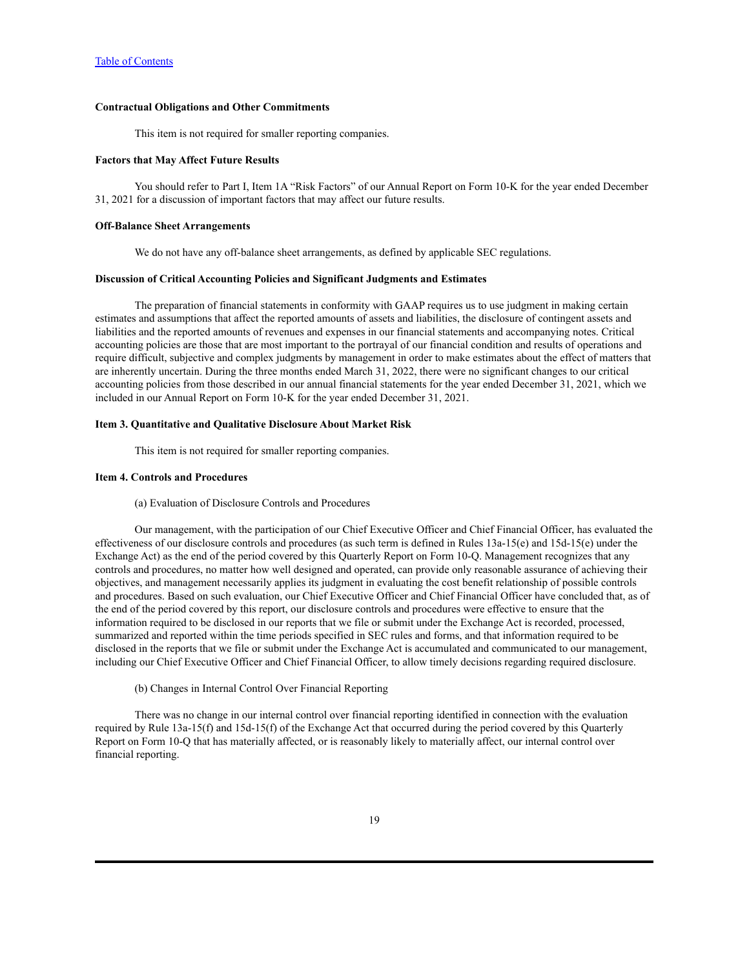### **Contractual Obligations and Other Commitments**

This item is not required for smaller reporting companies.

### **Factors that May Affect Future Results**

You should refer to Part I, Item 1A "Risk Factors" of our Annual Report on Form 10-K for the year ended December 31, 2021 for a discussion of important factors that may affect our future results.

#### **Off-Balance Sheet Arrangements**

We do not have any off-balance sheet arrangements, as defined by applicable SEC regulations.

### **Discussion of Critical Accounting Policies and Significant Judgments and Estimates**

The preparation of financial statements in conformity with GAAP requires us to use judgment in making certain estimates and assumptions that affect the reported amounts of assets and liabilities, the disclosure of contingent assets and liabilities and the reported amounts of revenues and expenses in our financial statements and accompanying notes. Critical accounting policies are those that are most important to the portrayal of our financial condition and results of operations and require difficult, subjective and complex judgments by management in order to make estimates about the effect of matters that are inherently uncertain. During the three months ended March 31, 2022, there were no significant changes to our critical accounting policies from those described in our annual financial statements for the year ended December 31, 2021, which we included in our Annual Report on Form 10-K for the year ended December 31, 2021.

### <span id="page-18-0"></span>**Item 3. Quantitative and Qualitative Disclosure About Market Risk**

This item is not required for smaller reporting companies.

### <span id="page-18-1"></span>**Item 4. Controls and Procedures**

#### (a) Evaluation of Disclosure Controls and Procedures

Our management, with the participation of our Chief Executive Officer and Chief Financial Officer, has evaluated the effectiveness of our disclosure controls and procedures (as such term is defined in Rules  $13a-15(e)$  and  $15d-15(e)$  under the Exchange Act) as the end of the period covered by this Quarterly Report on Form 10-Q. Management recognizes that any controls and procedures, no matter how well designed and operated, can provide only reasonable assurance of achieving their objectives, and management necessarily applies its judgment in evaluating the cost benefit relationship of possible controls and procedures. Based on such evaluation, our Chief Executive Officer and Chief Financial Officer have concluded that, as of the end of the period covered by this report, our disclosure controls and procedures were effective to ensure that the information required to be disclosed in our reports that we file or submit under the Exchange Act is recorded, processed, summarized and reported within the time periods specified in SEC rules and forms, and that information required to be disclosed in the reports that we file or submit under the Exchange Act is accumulated and communicated to our management, including our Chief Executive Officer and Chief Financial Officer, to allow timely decisions regarding required disclosure.

### (b) Changes in Internal Control Over Financial Reporting

There was no change in our internal control over financial reporting identified in connection with the evaluation required by Rule 13a-15(f) and 15d-15(f) of the Exchange Act that occurred during the period covered by this Quarterly Report on Form 10-Q that has materially affected, or is reasonably likely to materially affect, our internal control over financial reporting.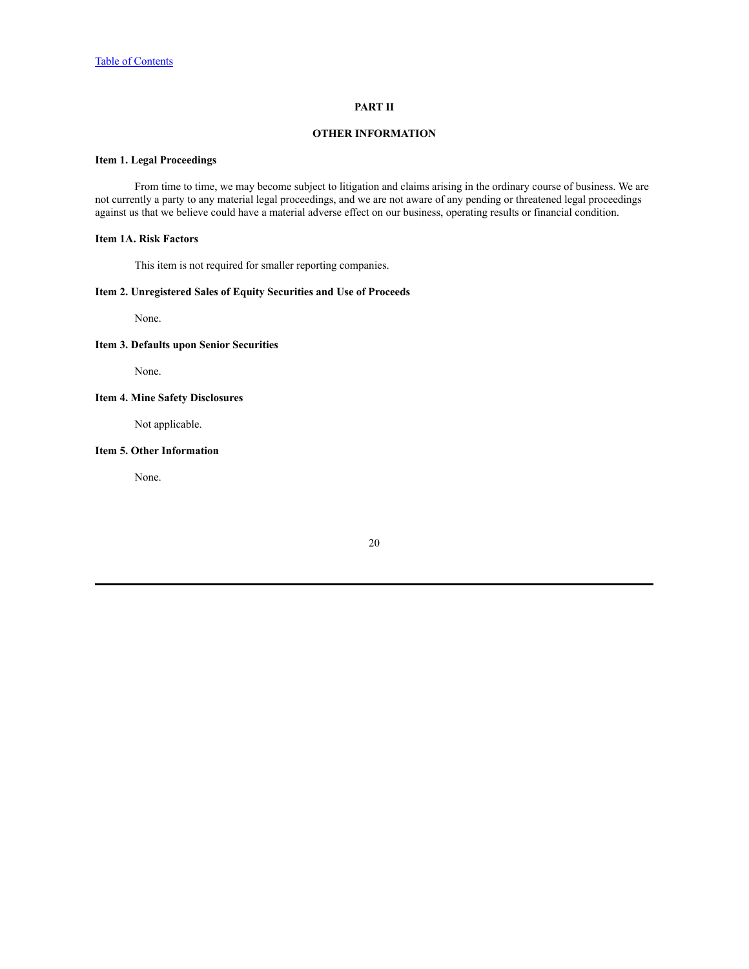### **PART II**

### **OTHER INFORMATION**

## <span id="page-19-1"></span><span id="page-19-0"></span>**Item 1. Legal Proceedings**

From time to time, we may become subject to litigation and claims arising in the ordinary course of business. We are not currently a party to any material legal proceedings, and we are not aware of any pending or threatened legal proceedings against us that we believe could have a material adverse effect on our business, operating results or financial condition.

### <span id="page-19-2"></span>**Item 1A. Risk Factors**

This item is not required for smaller reporting companies.

### <span id="page-19-3"></span>**Item 2. Unregistered Sales of Equity Securities and Use of Proceeds**

None.

### <span id="page-19-4"></span>**Item 3. Defaults upon Senior Securities**

None.

## <span id="page-19-5"></span>**Item 4. Mine Safety Disclosures**

Not applicable.

### <span id="page-19-6"></span>**Item 5. Other Information**

None.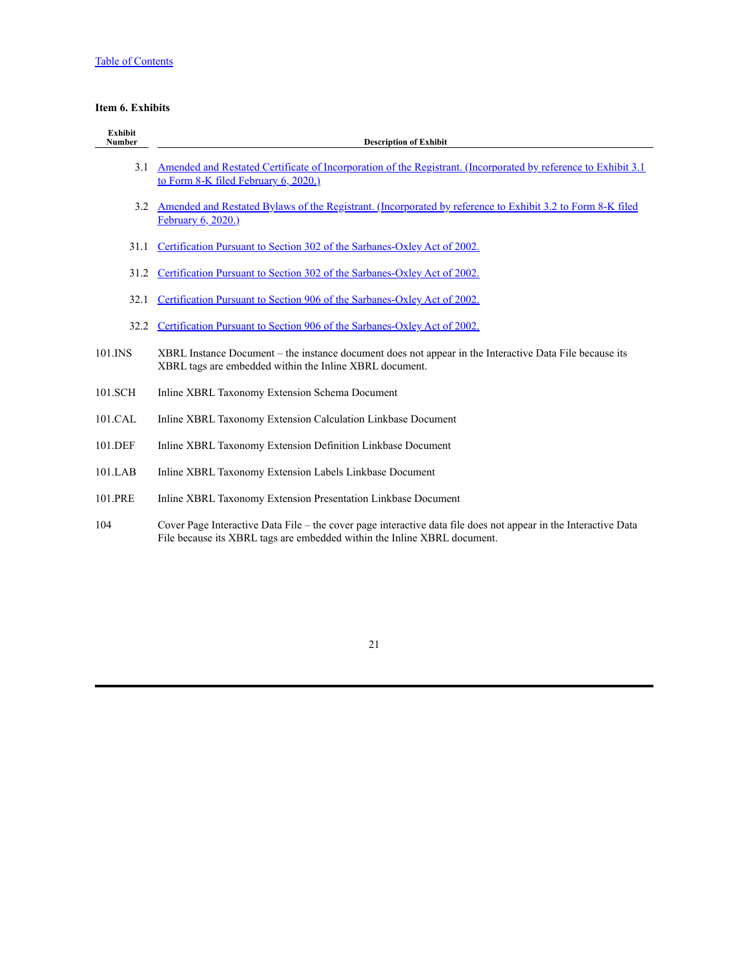# <span id="page-20-0"></span>**Item 6. Exhibits**

| <b>Exhibit</b><br><b>Number</b> | <b>Description of Exhibit</b>                                                                                                                                                               |
|---------------------------------|---------------------------------------------------------------------------------------------------------------------------------------------------------------------------------------------|
| 3.1                             | <u>Amended and Restated Certificate of Incorporation of the Registrant. (Incorporated by reference to Exhibit 3.1</u><br>to Form 8-K filed February 6, 2020.)                               |
| 3.2                             | Amended and Restated Bylaws of the Registrant. (Incorporated by reference to Exhibit 3.2 to Form 8-K filed<br>February 6, 2020.)                                                            |
| 31.1                            | Certification Pursuant to Section 302 of the Sarbanes-Oxley Act of 2002.                                                                                                                    |
| 31.2                            | Certification Pursuant to Section 302 of the Sarbanes-Oxley Act of 2002.                                                                                                                    |
| 32.1                            | Certification Pursuant to Section 906 of the Sarbanes-Oxley Act of 2002.                                                                                                                    |
| 32.2                            | Certification Pursuant to Section 906 of the Sarbanes-Oxley Act of 2002.                                                                                                                    |
| 101.INS                         | XBRL Instance Document – the instance document does not appear in the Interactive Data File because its<br>XBRL tags are embedded within the Inline XBRL document.                          |
| 101.SCH                         | Inline XBRL Taxonomy Extension Schema Document                                                                                                                                              |
| 101.CAL                         | Inline XBRL Taxonomy Extension Calculation Linkbase Document                                                                                                                                |
| 101.DEF                         | Inline XBRL Taxonomy Extension Definition Linkbase Document                                                                                                                                 |
| 101.LAB                         | Inline XBRL Taxonomy Extension Labels Linkbase Document                                                                                                                                     |
| 101.PRE                         | Inline XBRL Taxonomy Extension Presentation Linkbase Document                                                                                                                               |
| 104                             | Cover Page Interactive Data File – the cover page interactive data file does not appear in the Interactive Data<br>File because its XBRL tags are embedded within the Inline XBRL document. |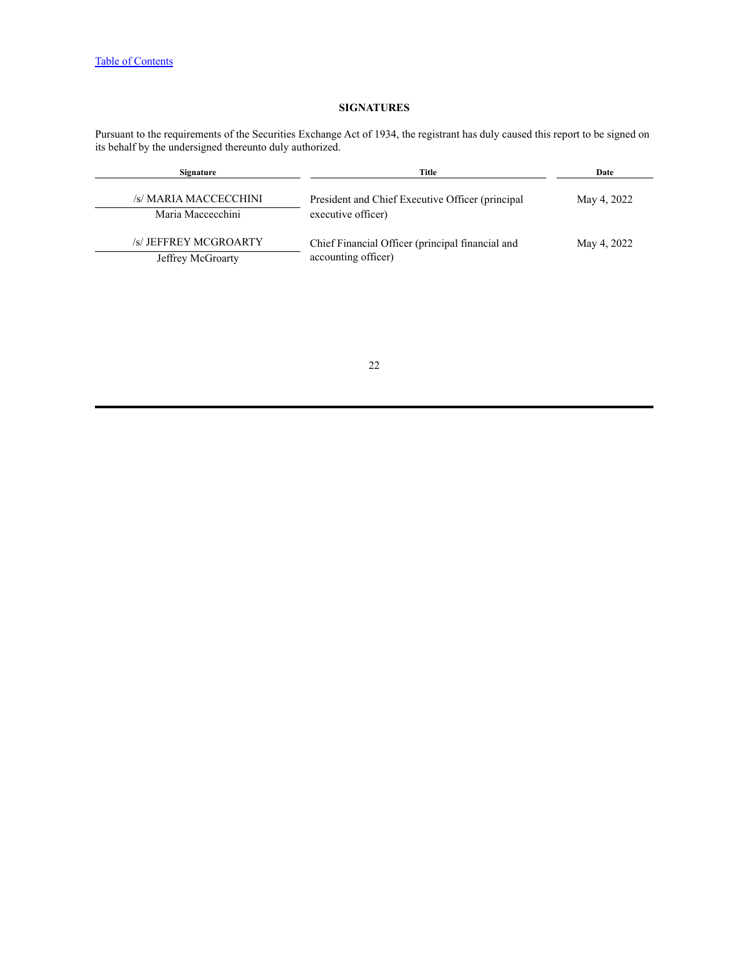# **SIGNATURES**

<span id="page-21-0"></span>Pursuant to the requirements of the Securities Exchange Act of 1934, the registrant has duly caused this report to be signed on its behalf by the undersigned thereunto duly authorized.

| Signature                                  | Title                                                                   | Date        |
|--------------------------------------------|-------------------------------------------------------------------------|-------------|
| /s/ MARIA MACCECCHINI<br>Maria Maccecchini | President and Chief Executive Officer (principal<br>executive officer)  | May 4, 2022 |
| /s/ JEFFREY MCGROARTY<br>Jeffrey McGroarty | Chief Financial Officer (principal financial and<br>accounting officer) | May 4, 2022 |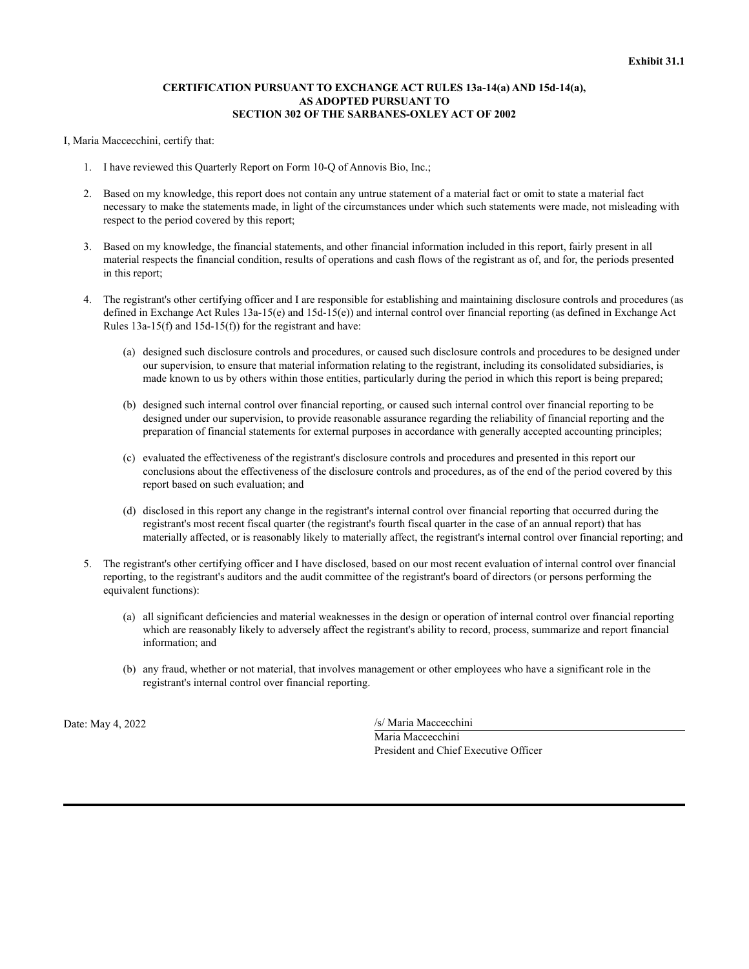### **CERTIFICATION PURSUANT TO EXCHANGE ACT RULES 13a-14(a) AND 15d-14(a), AS ADOPTED PURSUANT TO SECTION 302 OF THE SARBANES-OXLEY ACT OF 2002**

<span id="page-22-0"></span>I, Maria Maccecchini, certify that:

- 1. I have reviewed this Quarterly Report on Form 10-Q of Annovis Bio, Inc.;
- 2. Based on my knowledge, this report does not contain any untrue statement of a material fact or omit to state a material fact necessary to make the statements made, in light of the circumstances under which such statements were made, not misleading with respect to the period covered by this report;
- 3. Based on my knowledge, the financial statements, and other financial information included in this report, fairly present in all material respects the financial condition, results of operations and cash flows of the registrant as of, and for, the periods presented in this report;
- 4. The registrant's other certifying officer and I are responsible for establishing and maintaining disclosure controls and procedures (as defined in Exchange Act Rules 13a-15(e) and 15d-15(e)) and internal control over financial reporting (as defined in Exchange Act Rules 13a-15(f) and 15d-15(f)) for the registrant and have:
	- (a) designed such disclosure controls and procedures, or caused such disclosure controls and procedures to be designed under our supervision, to ensure that material information relating to the registrant, including its consolidated subsidiaries, is made known to us by others within those entities, particularly during the period in which this report is being prepared;
	- (b) designed such internal control over financial reporting, or caused such internal control over financial reporting to be designed under our supervision, to provide reasonable assurance regarding the reliability of financial reporting and the preparation of financial statements for external purposes in accordance with generally accepted accounting principles;
	- (c) evaluated the effectiveness of the registrant's disclosure controls and procedures and presented in this report our conclusions about the effectiveness of the disclosure controls and procedures, as of the end of the period covered by this report based on such evaluation; and
	- (d) disclosed in this report any change in the registrant's internal control over financial reporting that occurred during the registrant's most recent fiscal quarter (the registrant's fourth fiscal quarter in the case of an annual report) that has materially affected, or is reasonably likely to materially affect, the registrant's internal control over financial reporting; and
- 5. The registrant's other certifying officer and I have disclosed, based on our most recent evaluation of internal control over financial reporting, to the registrant's auditors and the audit committee of the registrant's board of directors (or persons performing the equivalent functions):
	- (a) all significant deficiencies and material weaknesses in the design or operation of internal control over financial reporting which are reasonably likely to adversely affect the registrant's ability to record, process, summarize and report financial information; and
	- (b) any fraud, whether or not material, that involves management or other employees who have a significant role in the registrant's internal control over financial reporting.

Date: May 4, 2022 /s/ Maria Maccecchini Maria Maccecchini President and Chief Executive Officer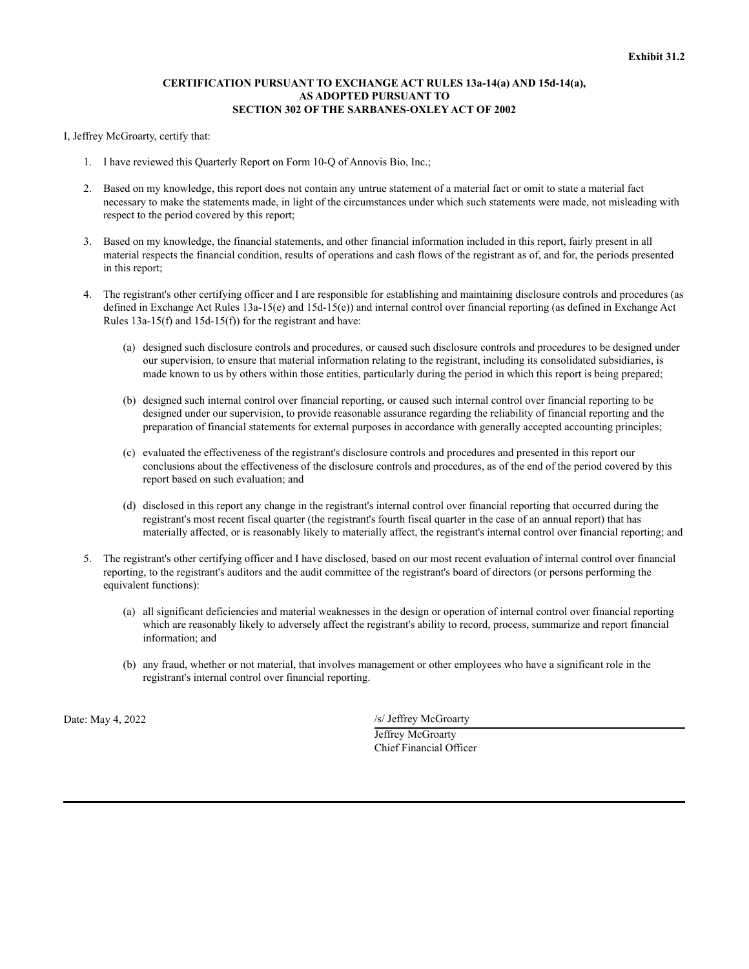### **CERTIFICATION PURSUANT TO EXCHANGE ACT RULES 13a-14(a) AND 15d-14(a), AS ADOPTED PURSUANT TO SECTION 302 OF THE SARBANES-OXLEY ACT OF 2002**

<span id="page-23-0"></span>I, Jeffrey McGroarty, certify that:

- 1. I have reviewed this Quarterly Report on Form 10-Q of Annovis Bio, Inc.;
- 2. Based on my knowledge, this report does not contain any untrue statement of a material fact or omit to state a material fact necessary to make the statements made, in light of the circumstances under which such statements were made, not misleading with respect to the period covered by this report;
- 3. Based on my knowledge, the financial statements, and other financial information included in this report, fairly present in all material respects the financial condition, results of operations and cash flows of the registrant as of, and for, the periods presented in this report;
- 4. The registrant's other certifying officer and I are responsible for establishing and maintaining disclosure controls and procedures (as defined in Exchange Act Rules 13a-15(e) and 15d-15(e)) and internal control over financial reporting (as defined in Exchange Act Rules 13a-15(f) and 15d-15(f)) for the registrant and have:
	- (a) designed such disclosure controls and procedures, or caused such disclosure controls and procedures to be designed under our supervision, to ensure that material information relating to the registrant, including its consolidated subsidiaries, is made known to us by others within those entities, particularly during the period in which this report is being prepared;
	- (b) designed such internal control over financial reporting, or caused such internal control over financial reporting to be designed under our supervision, to provide reasonable assurance regarding the reliability of financial reporting and the preparation of financial statements for external purposes in accordance with generally accepted accounting principles;
	- (c) evaluated the effectiveness of the registrant's disclosure controls and procedures and presented in this report our conclusions about the effectiveness of the disclosure controls and procedures, as of the end of the period covered by this report based on such evaluation; and
	- (d) disclosed in this report any change in the registrant's internal control over financial reporting that occurred during the registrant's most recent fiscal quarter (the registrant's fourth fiscal quarter in the case of an annual report) that has materially affected, or is reasonably likely to materially affect, the registrant's internal control over financial reporting; and
- 5. The registrant's other certifying officer and I have disclosed, based on our most recent evaluation of internal control over financial reporting, to the registrant's auditors and the audit committee of the registrant's board of directors (or persons performing the equivalent functions):
	- (a) all significant deficiencies and material weaknesses in the design or operation of internal control over financial reporting which are reasonably likely to adversely affect the registrant's ability to record, process, summarize and report financial information; and
	- (b) any fraud, whether or not material, that involves management or other employees who have a significant role in the registrant's internal control over financial reporting.

Date: May 4, 2022 /s/ Jeffrey McGroarty

Jeffrey McGroarty Chief Financial Officer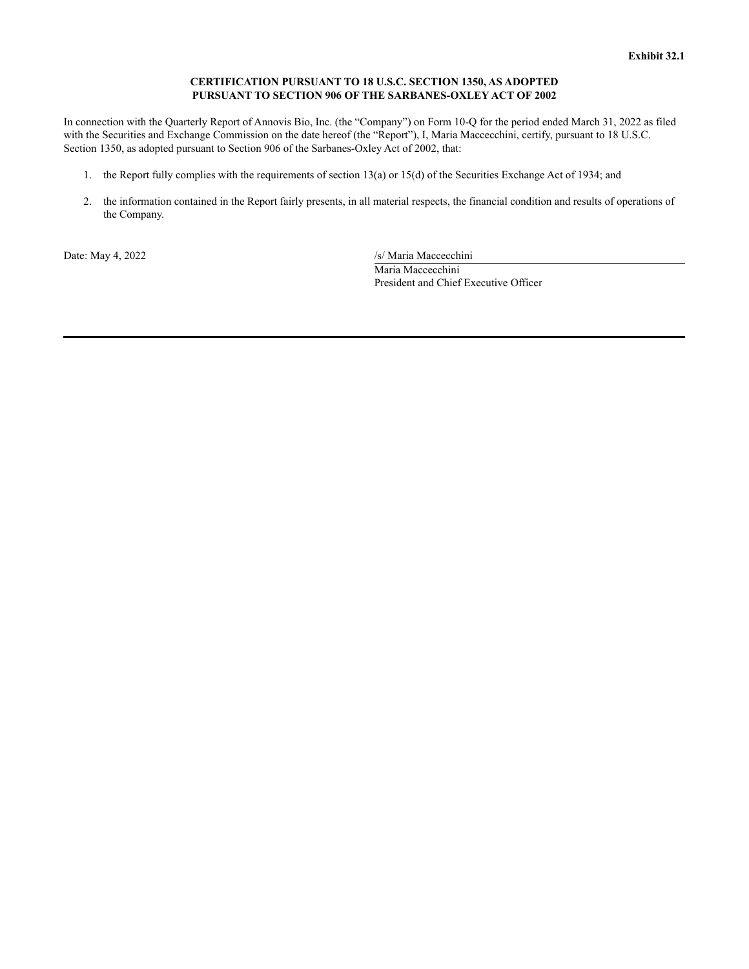### **CERTIFICATION PURSUANT TO 18 U.S.C. SECTION 1350, AS ADOPTED PURSUANT TO SECTION 906 OF THE SARBANES-OXLEY ACT OF 2002**

<span id="page-24-0"></span>In connection with the Quarterly Report of Annovis Bio, Inc. (the "Company") on Form 10-Q for the period ended March 31, 2022 as filed with the Securities and Exchange Commission on the date hereof (the "Report"), I, Maria Maccecchini, certify, pursuant to 18 U.S.C. Section 1350, as adopted pursuant to Section 906 of the Sarbanes-Oxley Act of 2002, that:

- 1. the Report fully complies with the requirements of section 13(a) or 15(d) of the Securities Exchange Act of 1934; and
- 2. the information contained in the Report fairly presents, in all material respects, the financial condition and results of operations of the Company.

Date: May 4, 2022 /s/ Maria Maccecchini Maria Maccecchini President and Chief Executive Officer